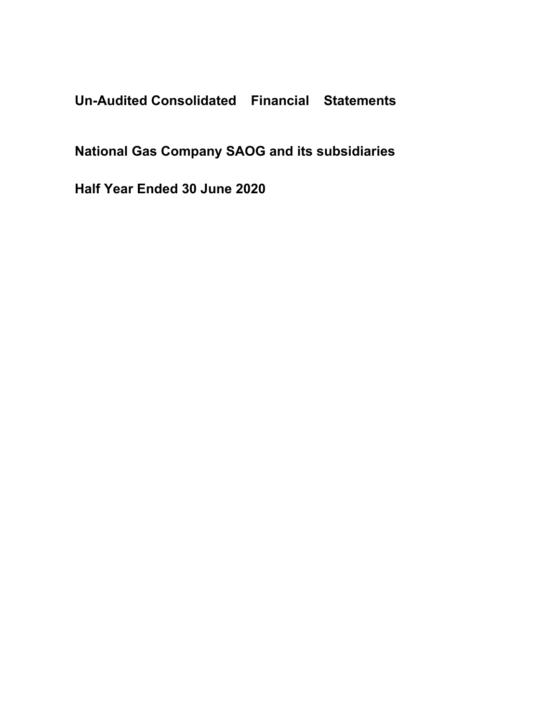**Un-Audited Consolidated Financial Statements**

**National Gas Company SAOG and its subsidiaries**

**Half Year Ended 30 June 2020**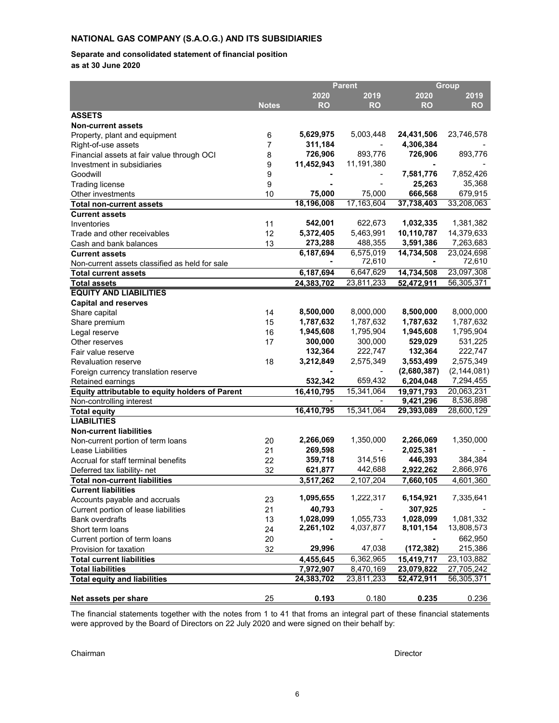#### **Separate and consolidated statement of financial position**

**as at 30 June 2020**

|                                                 |                |            | <b>Parent</b> | Group       |               |  |
|-------------------------------------------------|----------------|------------|---------------|-------------|---------------|--|
|                                                 |                | 2020       | 2019          | 2020        | 2019          |  |
|                                                 | <b>Notes</b>   | <b>RO</b>  | <b>RO</b>     | <b>RO</b>   | <b>RO</b>     |  |
| <b>ASSETS</b>                                   |                |            |               |             |               |  |
| <b>Non-current assets</b>                       |                |            |               |             |               |  |
| Property, plant and equipment                   | 6              | 5,629,975  | 5,003,448     | 24,431,506  | 23,746,578    |  |
| Right-of-use assets                             | $\overline{7}$ | 311,184    |               | 4,306,384   |               |  |
| Financial assets at fair value through OCI      | 8              | 726,906    | 893,776       | 726,906     | 893,776       |  |
| Investment in subsidiaries                      | 9              | 11,452,943 | 11,191,380    |             |               |  |
| Goodwill                                        | 9              |            |               | 7,581,776   | 7,852,426     |  |
| <b>Trading license</b>                          | 9              |            |               | 25,263      | 35,368        |  |
| Other investments                               | 10             | 75,000     | 75,000        | 666,568     | 679,915       |  |
| <b>Total non-current assets</b>                 |                | 18,196,008 | 17,163,604    | 37,738,403  | 33,208,063    |  |
| <b>Current assets</b>                           |                |            |               |             |               |  |
| Inventories                                     | 11             | 542,001    | 622,673       | 1,032,335   | 1,381,382     |  |
| Trade and other receivables                     | 12             | 5,372,405  | 5,463,991     | 10,110,787  | 14,379,633    |  |
| Cash and bank balances                          | 13             | 273,288    | 488,355       | 3,591,386   | 7,263,683     |  |
| <b>Current assets</b>                           |                | 6,187,694  | 6,575,019     | 14,734,508  | 23,024,698    |  |
| Non-current assets classified as held for sale  |                |            | 72,610        |             | 72,610        |  |
| <b>Total current assets</b>                     |                | 6,187,694  | 6,647,629     | 14,734,508  | 23,097,308    |  |
| <b>Total assets</b>                             |                | 24,383,702 | 23,811,233    | 52,472,911  | 56,305,371    |  |
| <b>EQUITY AND LIABILITIES</b>                   |                |            |               |             |               |  |
| <b>Capital and reserves</b>                     |                |            |               |             |               |  |
| Share capital                                   | 14             | 8,500,000  | 8,000,000     | 8,500,000   | 8,000,000     |  |
| Share premium                                   | 15             | 1,787,632  | 1,787,632     | 1,787,632   | 1,787,632     |  |
| Legal reserve                                   | 16             | 1,945,608  | 1,795,904     | 1,945,608   | 1,795,904     |  |
| Other reserves                                  | 17             | 300,000    | 300,000       | 529,029     | 531,225       |  |
| Fair value reserve                              |                | 132,364    | 222,747       | 132,364     | 222,747       |  |
| <b>Revaluation reserve</b>                      | 18             | 3,212,849  | 2,575,349     | 3,553,499   | 2,575,349     |  |
| Foreign currency translation reserve            |                |            |               | (2,680,387) | (2, 144, 081) |  |
| Retained earnings                               |                | 532,342    | 659,432       | 6,204,048   | 7,294,455     |  |
| Equity attributable to equity holders of Parent |                | 16,410,795 | 15,341,064    | 19,971,793  | 20,063,231    |  |
| Non-controlling interest                        |                |            |               | 9,421,296   | 8,536,898     |  |
| <b>Total equity</b>                             |                | 16,410,795 | 15,341,064    | 29,393,089  | 28,600,129    |  |
| <b>LIABILITIES</b>                              |                |            |               |             |               |  |
| <b>Non-current liabilities</b>                  |                |            |               |             |               |  |
| Non-current portion of term loans               | 20             | 2,266,069  | 1,350,000     | 2,266,069   | 1,350,000     |  |
| Lease Liabilities                               | 21             | 269,598    |               | 2,025,381   |               |  |
| Accrual for staff terminal benefits             | 22             | 359,718    | 314,516       | 446,393     | 384,384       |  |
| Deferred tax liability- net                     | 32             | 621,877    | 442,688       | 2,922,262   | 2,866,976     |  |
| <b>Total non-current liabilities</b>            |                | 3,517,262  | 2,107,204     | 7,660,105   | 4,601,360     |  |
| <b>Current liabilities</b>                      |                |            |               |             |               |  |
| Accounts payable and accruals                   | 23             | 1,095,655  | 1,222,317     | 6,154,921   | 7,335,641     |  |
| Current portion of lease liabilities            | 21             | 40,793     |               | 307,925     |               |  |
| <b>Bank overdrafts</b>                          | 13             | 1,028,099  | 1,055,733     | 1,028,099   | 1,081,332     |  |
| Short term loans                                | 24             | 2,261,102  | 4,037,877     | 8,101,154   | 13,808,573    |  |
| Current portion of term loans                   | 20             |            |               |             | 662,950       |  |
| Provision for taxation                          | 32             | 29,996     | 47,038        | (172, 382)  | 215,386       |  |
| <b>Total current liabilities</b>                |                | 4,455,645  | 6,362,965     | 15,419,717  | 23,103,882    |  |
| <b>Total liabilities</b>                        |                | 7,972,907  | 8,470,169     | 23,079,822  | 27,705,242    |  |
| <b>Total equity and liabilities</b>             |                | 24,383,702 | 23,811,233    | 52,472,911  | 56,305,371    |  |
|                                                 |                |            |               |             |               |  |
| Net assets per share                            | 25             | 0.193      | 0.180         | 0.235       | 0.236         |  |

The financial statements together with the notes from 1 to 41 that froms an integral part of these financial statements were approved by the Board of Directors on 22 July 2020 and were signed on their behalf by:

Chairman Director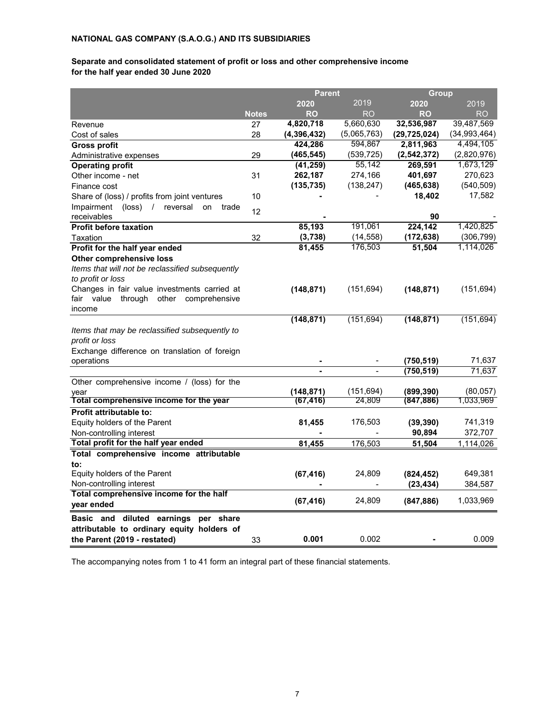## **for the half year ended 30 June 2020 Separate and consolidated statement of profit or loss and other comprehensive income**

|                                                                  |              | <b>Parent</b> |             | Group          |              |  |
|------------------------------------------------------------------|--------------|---------------|-------------|----------------|--------------|--|
|                                                                  |              | 2020          | 2019        | 2020           | 2019         |  |
|                                                                  | <b>Notes</b> | <b>RO</b>     | RO          | <b>RO</b>      | RO           |  |
| Revenue                                                          | 27           | 4,820,718     | 5,660,630   | 32,536,987     | 39,487,569   |  |
| Cost of sales                                                    | 28           | (4,396,432)   | (5,065,763) | (29, 725, 024) | (34,993,464) |  |
| Gross profit                                                     |              | 424,286       | 594,867     | 2,811,963      | 4,494,105    |  |
| Administrative expenses                                          | 29           | (465, 545)    | (539, 725)  | (2, 542, 372)  | (2,820,976)  |  |
| <b>Operating profit</b>                                          |              | (41, 259)     | 55,142      | 269,591        | 1,673,129    |  |
| Other income - net                                               | 31           | 262,187       | 274,166     | 401,697        | 270,623      |  |
| Finance cost                                                     |              | (135, 735)    | (138, 247)  | (465, 638)     | (540, 509)   |  |
| Share of (loss) / profits from joint ventures                    | 10           |               |             | 18,402         | 17,582       |  |
| Impairment<br>$(\text{loss})$ /<br>reversal<br>on<br>trade       | 12           |               |             |                |              |  |
| receivables                                                      |              |               |             | 90             |              |  |
| <b>Profit before taxation</b>                                    |              | 85,193        | 191,061     | 224,142        | 1,420,825    |  |
| Taxation                                                         | 32           | (3,738)       | (14, 558)   | (172, 638)     | (306, 799)   |  |
| Profit for the half year ended                                   |              | 81,455        | 176,503     | 51,504         | 1,114,026    |  |
| Other comprehensive loss                                         |              |               |             |                |              |  |
| Items that will not be reclassified subsequently                 |              |               |             |                |              |  |
| to profit or loss                                                |              |               |             |                |              |  |
| Changes in fair value investments carried at                     |              | (148, 871)    | (151, 694)  | (148, 871)     | (151, 694)   |  |
| fair<br>value<br>through<br>other<br>comprehensive<br>income     |              |               |             |                |              |  |
|                                                                  |              | (148, 871)    | (151, 694)  | (148, 871)     | (151, 694)   |  |
|                                                                  |              |               |             |                |              |  |
| Items that may be reclassified subsequently to<br>profit or loss |              |               |             |                |              |  |
| Exchange difference on translation of foreign                    |              |               |             |                |              |  |
| operations                                                       |              |               |             | (750,519)      | 71,637       |  |
|                                                                  |              |               |             | (750, 519)     | 71,637       |  |
| Other comprehensive income / (loss) for the                      |              |               |             |                |              |  |
| year                                                             |              | (148, 871)    | (151, 694)  | (899,390)      | (80, 057)    |  |
| Total comprehensive income for the year                          |              | (67,416)      | 24,809      | (847,886)      | 1,033,969    |  |
| Profit attributable to:                                          |              |               |             |                |              |  |
| Equity holders of the Parent                                     |              | 81,455        | 176,503     | (39, 390)      | 741,319      |  |
| Non-controlling interest                                         |              |               |             | 90,894         | 372,707      |  |
| Total profit for the half year ended                             |              | 81,455        | 176,503     | 51,504         | 1,114,026    |  |
| Total comprehensive income attributable                          |              |               |             |                |              |  |
| to:                                                              |              |               |             |                |              |  |
| Equity holders of the Parent                                     |              | (67, 416)     | 24,809      | (824, 452)     | 649,381      |  |
| Non-controlling interest                                         |              |               | -           | (23, 434)      | 384,587      |  |
| Total comprehensive income for the half                          |              |               |             |                |              |  |
| year ended                                                       |              | (67, 416)     | 24,809      | (847, 886)     | 1,033,969    |  |
| Basic and diluted earnings<br>per share                          |              |               |             |                |              |  |
| attributable to ordinary equity holders of                       |              |               |             |                |              |  |
| the Parent (2019 - restated)                                     | 33           | 0.001         | 0.002       |                | 0.009        |  |
|                                                                  |              |               |             |                |              |  |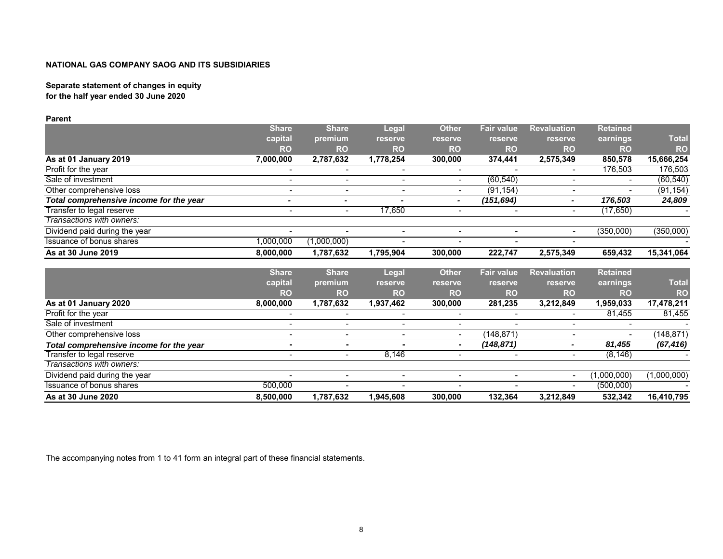# **Separate statement of changes in equity**

**for the half year ended 30 June 2020**

**Parent**

|                                         | <b>Share</b>             | <b>Share</b>             | Legal          | <b>Other</b>                 | <b>Fair value</b>        | <b>Revaluation</b>       | <b>Retained</b>          |              |
|-----------------------------------------|--------------------------|--------------------------|----------------|------------------------------|--------------------------|--------------------------|--------------------------|--------------|
|                                         | capital                  | premium                  | reserve        | reserve                      | reserve                  | reserve                  | earnings                 | <b>Total</b> |
|                                         | <b>RO</b>                | <b>RO</b>                | <b>RO</b>      | <b>RO</b>                    | <b>RO</b>                | <b>RO</b>                | <b>RO</b>                | <b>RO</b>    |
| As at 01 January 2019                   | 7,000,000                | 2,787,632                | 1,778,254      | 300,000                      | 374,441                  | 2,575,349                | 850,578                  | 15,666,254   |
| Profit for the year                     | $\blacksquare$           | $\overline{\phantom{0}}$ |                | $\blacksquare$               |                          | $\blacksquare$           | 176,503                  | 176,503      |
| Sale of investment                      | $\overline{\phantom{0}}$ |                          |                | $\blacksquare$               | (60, 540)                | $\blacksquare$           |                          | (60, 540)    |
| Other comprehensive loss                | $\overline{\phantom{0}}$ | $\overline{\phantom{0}}$ |                | $\blacksquare$               | (91, 154)                | $\blacksquare$           |                          | (91, 154)    |
| Total comprehensive income for the year | $\overline{\phantom{0}}$ | $\overline{a}$           |                | $\blacksquare$               | (151, 694)               |                          | 176,503                  | 24,809       |
| Transfer to legal reserve               | $\sim$                   | $\blacksquare$           | 17,650         | $\blacksquare$               |                          | $\overline{a}$           | (17, 650)                |              |
| Transactions with owners:               |                          |                          |                |                              |                          |                          |                          |              |
| Dividend paid during the year           | $\overline{\phantom{0}}$ |                          | $\blacksquare$ | $\overline{\phantom{a}}$     | $\overline{\phantom{0}}$ | $\overline{\phantom{0}}$ | (350,000)                | (350,000)    |
| Issuance of bonus shares                | ,000,000                 | (1,000,000)              |                |                              |                          |                          |                          |              |
| As at 30 June 2019                      | 8,000,000                | 1,787,632                | 1,795,904      | 300,000                      | 222,747                  | 2,575,349                | 659,432                  | 15,341,064   |
|                                         |                          |                          |                |                              |                          |                          |                          |              |
|                                         | <b>Share</b>             | <b>Share</b>             | <b>Legal</b>   | <b>Other</b>                 | <b>Fair value</b>        | <b>Revaluation</b>       | <b>Retained</b>          |              |
|                                         | capital                  | premium                  | reserve        | reserve                      | reserve                  | <b>reserve</b>           | earnings                 | <b>Total</b> |
|                                         | <b>RO</b>                | <b>RO</b>                | <b>RO</b>      | <b>RO</b>                    | <b>RO</b>                | <b>RO</b>                | <b>RO</b>                | <b>RO</b>    |
| As at 01 January 2020                   | 8,000,000                | 1,787,632                | 1,937,462      | 300,000                      | 281,235                  | 3,212,849                | 1,959,033                | 17,478,211   |
| Profit for the year                     |                          | $\blacksquare$           |                | $\overline{\phantom{a}}$     |                          |                          | 81,455                   | 81,455       |
| Sale of investment                      | $\overline{\phantom{0}}$ | $\overline{\phantom{0}}$ | $\blacksquare$ | $\overline{\phantom{a}}$     |                          |                          |                          |              |
| Other comprehensive loss                | $\overline{\phantom{0}}$ | $\overline{\phantom{0}}$ | $\blacksquare$ | $\overline{\phantom{0}}$     | (148, 871)               | $\blacksquare$           | $\overline{\phantom{0}}$ | (148, 871)   |
| Total comprehensive income for the year | $\blacksquare$           | ٠                        |                | $\blacksquare$               | (148, 871)               | $\blacksquare$           | 81,455                   | (67, 416)    |
| Transfer to legal reserve               |                          | $\blacksquare$           | 8.146          | $\overline{\phantom{0}}$     |                          | $\blacksquare$           | (8, 146)                 |              |
| Transactions with owners:               |                          |                          |                |                              |                          |                          |                          |              |
| Dividend paid during the year           | $\blacksquare$           | $\overline{\phantom{0}}$ | $\blacksquare$ | $\overline{\phantom{a}}$     | $\overline{\phantom{0}}$ | $\blacksquare$           | (1,000,000)              | (1,000,000)  |
| Issuance of bonus shares                | 500,000                  | $\blacksquare$           | $\blacksquare$ | $\qquad \qquad \blacksquare$ |                          | $\blacksquare$           | (500,000)                |              |
| As at 30 June 2020                      | 8.500.000                | 1,787,632                | 1.945.608      | 300.000                      | 132,364                  | 3,212,849                | 532,342                  | 16,410,795   |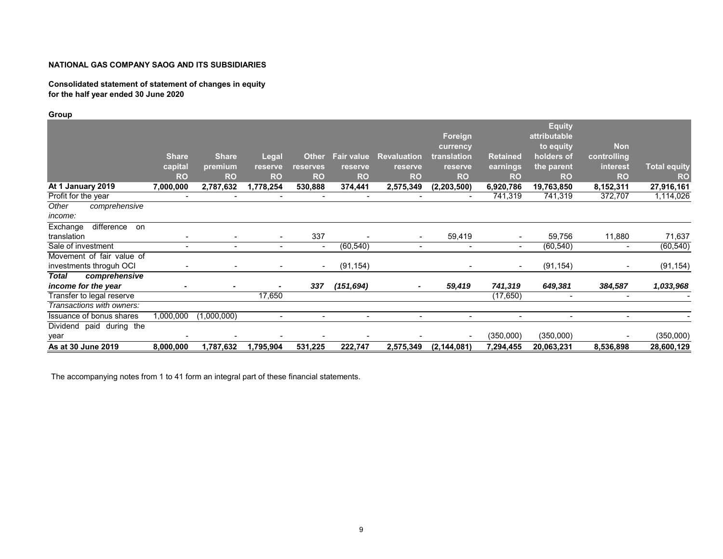#### **Consolidated statement of statement of changes in equity for the half year ended 30 June 2020**

## **Group**

|                                 |                |              |                          |                          |                          |                              |                          |                 | <b>Equity</b>  |                          |                     |
|---------------------------------|----------------|--------------|--------------------------|--------------------------|--------------------------|------------------------------|--------------------------|-----------------|----------------|--------------------------|---------------------|
|                                 |                |              |                          |                          |                          |                              | Foreign                  |                 | attributable   |                          |                     |
|                                 |                |              |                          |                          |                          |                              | currency                 |                 | to equity      | <b>Non</b>               |                     |
|                                 | <b>Share</b>   | <b>Share</b> | <b>Legal</b>             | <b>Other</b>             | <b>Fair value</b>        | <b>Revaluation</b>           | translation              | <b>Retained</b> | holders of     | controlling              |                     |
|                                 | capital        | premium      | reserve                  | reserves                 | reserve                  | reserve                      | reserve                  | earnings        | the parent     | interest                 | <b>Total equity</b> |
|                                 | <b>RO</b>      | <b>RO</b>    | <b>RO</b>                | <b>RO</b>                | <b>RO</b>                | <b>RO</b>                    | <b>RO</b>                | <b>RO</b>       | <b>RO</b>      | <b>RO</b>                | <b>RO</b>           |
| At 1 January 2019               | 7,000,000      | 2,787,632    | 1,778,254                | 530,888                  | 374,441                  | 2,575,349                    | (2,203,500)              | 6,920,786       | 19,763,850     | 8,152,311                | 27,916,161          |
| Profit for the year             | $\sim$         | -            |                          | $\overline{\phantom{0}}$ | $\overline{\phantom{a}}$ | $\overline{\phantom{0}}$     |                          | 741,319         | 741,319        | 372,707                  | 1,114,026           |
| comprehensive<br>Other          |                |              |                          |                          |                          |                              |                          |                 |                |                          |                     |
| income:                         |                |              |                          |                          |                          |                              |                          |                 |                |                          |                     |
| Exchange<br>difference on       |                |              |                          |                          |                          |                              |                          |                 |                |                          |                     |
| translation                     |                |              | $\overline{\phantom{a}}$ | 337                      |                          | $\blacksquare$               | 59,419                   | -               | 59,756         | 11,880                   | 71,637              |
| Sale of investment              | $\overline{a}$ | ۰.           | $\sim$                   | $\sim$                   | (60, 540)                | $\overline{\phantom{0}}$     | $\overline{\phantom{0}}$ | $\blacksquare$  | (60, 540)      | $\overline{\phantom{0}}$ | (60, 540)           |
| Movement of fair value of       |                |              |                          |                          |                          |                              |                          |                 |                |                          |                     |
| investments throquh OCI         |                |              |                          | $\blacksquare$           | (91, 154)                |                              | $\blacksquare$           | $\blacksquare$  | (91, 154)      | $\overline{\phantom{0}}$ | (91, 154)           |
| Total<br>comprehensive          |                |              |                          |                          |                          |                              |                          |                 |                |                          |                     |
| income for the year             |                |              | $\overline{\phantom{0}}$ | 337                      | (151, 694)               | $\blacksquare$               | 59,419                   | 741,319         | 649,381        | 384,587                  | 1,033,968           |
| Transfer to legal reserve       |                |              | 17,650                   |                          |                          |                              |                          | (17, 650)       |                | $\overline{\phantom{0}}$ |                     |
| Transactions with owners:       |                |              |                          |                          |                          |                              |                          |                 |                |                          |                     |
| <b>Issuance of bonus shares</b> | 1,000,000      | (1,000,000)  | $\overline{\phantom{a}}$ | $\overline{\phantom{0}}$ | $\overline{\phantom{a}}$ | $\qquad \qquad \blacksquare$ | $\overline{\phantom{a}}$ | $\blacksquare$  | $\blacksquare$ | $\blacksquare$           |                     |
| Dividend paid during the        |                |              |                          |                          |                          |                              |                          |                 |                |                          |                     |
| year                            |                |              |                          |                          |                          |                              | $\overline{\phantom{a}}$ | (350,000)       | (350,000)      |                          | (350,000)           |
| As at 30 June 2019              | 8,000,000      | 1,787,632    | 1,795,904                | 531,225                  | 222,747                  | 2,575,349                    | (2, 144, 081)            | 7,294,455       | 20,063,231     | 8,536,898                | 28,600,129          |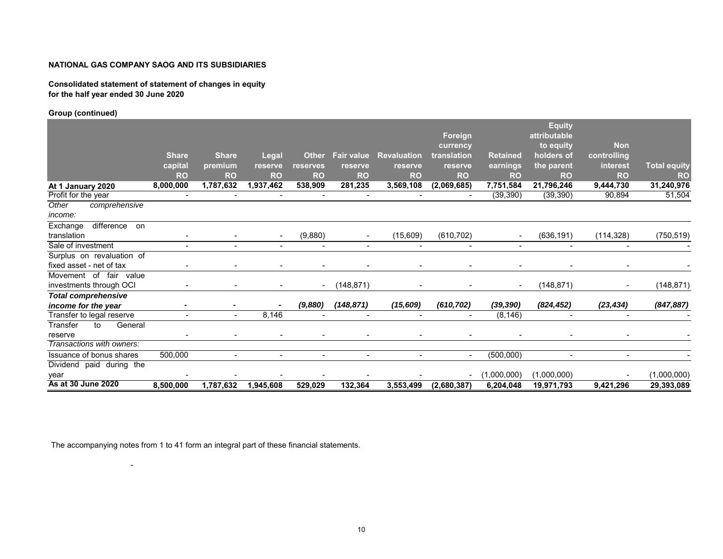#### **Consolidated statement of statement of changes in equity for the half year ended 30 June 2020**

#### **Group (continued)**

|                            |                |                          |                          |                          |                          |                          |                          |                          | <b>Equity</b> |                          |                     |
|----------------------------|----------------|--------------------------|--------------------------|--------------------------|--------------------------|--------------------------|--------------------------|--------------------------|---------------|--------------------------|---------------------|
|                            |                |                          |                          |                          |                          |                          | Foreign                  |                          | attributable  |                          |                     |
|                            |                |                          |                          |                          |                          |                          | currency                 |                          | to equity     | <b>Non</b>               |                     |
|                            | <b>Share</b>   | <b>Share</b>             | Legal                    | <b>Other</b>             | <b>Fair value</b>        | <b>Revaluation</b>       | translation              | <b>Retained</b>          | holders of    | controlling              |                     |
|                            | capital        | premium                  | reserve                  | reserves                 | reserve                  | reserve                  | reserve                  | earnings                 | the parent    | interest                 | <b>Total equity</b> |
|                            | <b>RO</b>      | <b>RO</b>                | <b>RO</b>                | <b>RO</b>                | <b>RO</b>                | <b>RO</b>                | <b>RO</b>                | <b>RO</b>                | <b>RO</b>     | <b>RO</b>                | <b>RO</b>           |
| At 1 January 2020          | 8,000,000      | 1,787,632                | 1,937,462                | 538,909                  | 281,235                  | 3,569,108                | (2,069,685)              | 7,751,584                | 21,796,246    | 9,444,730                | 31,240,976          |
| Profit for the year        | $\blacksquare$ | $\overline{\phantom{a}}$ | $\overline{\phantom{a}}$ | $\overline{\phantom{a}}$ | $\overline{\phantom{a}}$ |                          | $\overline{\phantom{a}}$ | (39, 390)                | (39, 390)     | 90,894                   | 51,504              |
| comprehensive<br>Other     |                |                          |                          |                          |                          |                          |                          |                          |               |                          |                     |
| income:                    |                |                          |                          |                          |                          |                          |                          |                          |               |                          |                     |
| difference on<br>Exchange  |                |                          |                          |                          |                          |                          |                          |                          |               |                          |                     |
| translation                |                |                          | $\blacksquare$           | (9,880)                  |                          | (15,609)                 | (610, 702)               | $\overline{\phantom{a}}$ | (636, 191)    | (114, 328)               | (750, 519)          |
| Sale of investment         |                |                          |                          |                          |                          |                          |                          |                          |               |                          |                     |
| Surplus on revaluation of  |                |                          |                          |                          |                          |                          |                          |                          |               |                          |                     |
| fixed asset - net of tax   |                |                          |                          |                          |                          |                          |                          |                          |               |                          |                     |
| Movement of fair<br>value  |                |                          |                          |                          |                          |                          |                          |                          |               |                          |                     |
| investments through OCI    |                |                          |                          |                          | (148, 871)               |                          |                          |                          | (148, 871)    | $\blacksquare$           | (148, 871)          |
| <b>Total comprehensive</b> |                |                          |                          |                          |                          |                          |                          |                          |               |                          |                     |
| income for the year        | $\blacksquare$ |                          |                          | (9,880)                  | (148, 871)               | (15, 609)                | (610, 702)               | (39, 390)                | (824, 452)    | (23, 434)                | (847, 887)          |
| Transfer to legal reserve  |                |                          | 8,146                    |                          |                          |                          |                          | (8, 146)                 |               | $\sim$                   |                     |
| Transfer<br>to<br>General  |                |                          |                          |                          |                          |                          |                          |                          |               |                          |                     |
| reserve                    |                |                          | $\overline{\phantom{a}}$ |                          |                          | $\overline{\phantom{a}}$ | ٠                        | $\overline{\phantom{a}}$ |               | $\overline{\phantom{a}}$ |                     |
| Transactions with owners:  |                |                          |                          |                          |                          |                          |                          |                          |               |                          |                     |
| Issuance of bonus shares   | 500,000        |                          | ٠                        | $\overline{a}$           |                          |                          | $\blacksquare$           | (500,000)                |               | $\sim$                   |                     |
| Dividend paid during the   |                |                          |                          |                          |                          |                          |                          |                          |               |                          |                     |
| year                       |                |                          |                          |                          |                          |                          | ٠                        | (1,000,000)              | (1,000,000)   | $\overline{\phantom{a}}$ | (1,000,000)         |
| As at 30 June 2020         | 8,500,000      | 1,787,632                | 1,945,608                | 529,029                  | 132,364                  | 3,553,499                | (2,680,387)              | 6,204,048                | 19,971,793    | 9,421,296                | 29,393,089          |

The accompanying notes from 1 to 41 form an integral part of these financial statements.

-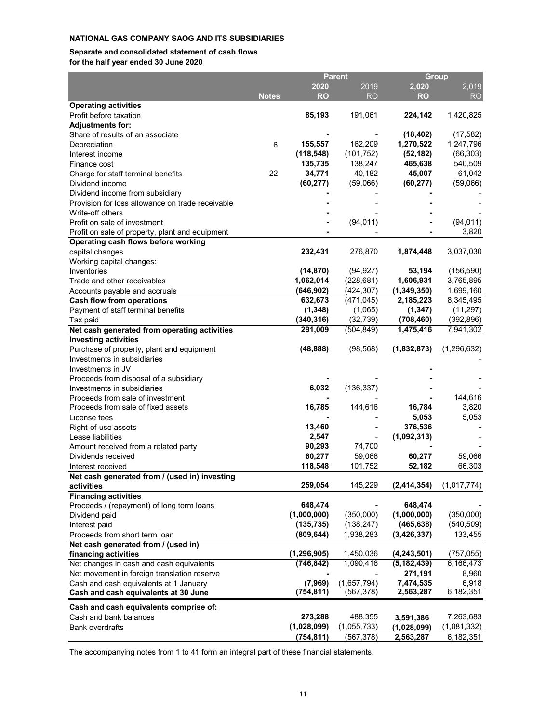#### **Separate and consolidated statement of cash flows for the half year ended 30 June 2020**

|                                                                      |              |                          | <b>Parent</b>           | <b>Group</b>                |                         |  |
|----------------------------------------------------------------------|--------------|--------------------------|-------------------------|-----------------------------|-------------------------|--|
|                                                                      |              | 2020                     | 2019                    | 2,020                       | 2,019                   |  |
|                                                                      | <b>Notes</b> | <b>RO</b>                | RO                      | <b>RO</b>                   | <b>RO</b>               |  |
| <b>Operating activities</b>                                          |              |                          |                         |                             |                         |  |
| Profit before taxation                                               |              | 85,193                   | 191,061                 | 224,142                     | 1,420,825               |  |
| <b>Adjustments for:</b>                                              |              |                          |                         |                             |                         |  |
| Share of results of an associate                                     |              |                          |                         | (18, 402)                   | (17, 582)               |  |
| Depreciation                                                         | 6            | 155,557                  | 162,209                 | 1,270,522                   | 1,247,796               |  |
| Interest income                                                      |              | (118, 548)               | (101, 752)              | (52, 182)                   | (66, 303)               |  |
| Finance cost                                                         | 22           | 135,735<br>34,771        | 138,247<br>40,182       | 465,638<br>45,007           | 540,509<br>61,042       |  |
| Charge for staff terminal benefits<br>Dividend income                |              | (60, 277)                | (59,066)                | (60, 277)                   | (59,066)                |  |
| Dividend income from subsidiary                                      |              |                          |                         |                             |                         |  |
| Provision for loss allowance on trade receivable                     |              |                          |                         |                             |                         |  |
| Write-off others                                                     |              |                          |                         |                             |                         |  |
| Profit on sale of investment                                         |              |                          | (94, 011)               |                             | (94, 011)               |  |
| Profit on sale of property, plant and equipment                      |              |                          |                         |                             | 3,820                   |  |
| Operating cash flows before working                                  |              |                          |                         |                             |                         |  |
| capital changes                                                      |              | 232,431                  | 276,870                 | 1,874,448                   | 3,037,030               |  |
| Working capital changes:                                             |              |                          |                         |                             |                         |  |
| Inventories                                                          |              | (14, 870)                | (94, 927)               | 53,194                      | (156, 590)              |  |
| Trade and other receivables                                          |              | 1,062,014                | (228, 681)              | 1,606,931                   | 3,765,895               |  |
| Accounts payable and accruals                                        |              | (646, 902)               | (424, 307)              | (1, 349, 350)               | 1,699,160               |  |
| <b>Cash flow from operations</b>                                     |              | 632,673                  | (471, 045)              | 2,185,223                   | 8,345,495               |  |
| Payment of staff terminal benefits                                   |              | (1, 348)                 | (1,065)                 | (1, 347)                    | (11, 297)               |  |
| Tax paid                                                             |              | (340, 316)               | (32, 739)               | (708, 460)                  | (392, 896)              |  |
| Net cash generated from operating activities                         |              | 291,009                  | (504, 849)              | 1,475,416                   | 7,941,302               |  |
| <b>Investing activities</b>                                          |              |                          |                         |                             |                         |  |
| Purchase of property, plant and equipment                            |              | (48, 888)                | (98, 568)               | (1,832,873)                 | (1, 296, 632)           |  |
| Investments in subsidiaries                                          |              |                          |                         |                             |                         |  |
| Investments in JV                                                    |              |                          |                         |                             |                         |  |
| Proceeds from disposal of a subsidiary                               |              |                          |                         |                             |                         |  |
| Investments in subsidiaries                                          |              | 6,032                    | (136, 337)              |                             |                         |  |
| Proceeds from sale of investment                                     |              |                          |                         |                             | 144,616                 |  |
| Proceeds from sale of fixed assets                                   |              | 16,785                   | 144,616                 | 16,784                      | 3,820                   |  |
| License fees                                                         |              |                          |                         | 5,053                       | 5,053                   |  |
| Right-of-use assets                                                  |              | 13,460                   |                         | 376,536                     |                         |  |
| Lease liabilities                                                    |              | 2,547                    |                         | (1,092,313)                 |                         |  |
| Amount received from a related party                                 |              | 90,293                   | 74,700                  |                             |                         |  |
| Dividends received                                                   |              | 60,277                   | 59,066                  | 60,277                      | 59,066                  |  |
| Interest received                                                    |              | 118,548                  | 101,752                 | 52,182                      | 66,303                  |  |
| Net cash generated from / (used in) investing                        |              |                          |                         |                             |                         |  |
| activities                                                           |              | 259,054                  | 145,229                 | (2, 414, 354)               | (1,017,774)             |  |
| <b>Financing activities</b>                                          |              |                          |                         |                             |                         |  |
| Proceeds / (repayment) of long term loans                            |              | 648,474                  |                         | 648,474                     |                         |  |
| Dividend paid                                                        |              | (1,000,000)              | (350,000)               | (1,000,000)                 | (350,000)<br>(540, 509) |  |
| Interest paid                                                        |              | (135, 735)<br>(809, 644) | (138, 247)<br>1,938,283 | (465, 638)<br>(3, 426, 337) | 133,455                 |  |
| Proceeds from short term loan<br>Net cash generated from / (used in) |              |                          |                         |                             |                         |  |
| financing activities                                                 |              | (1, 296, 905)            | 1,450,036               | (4, 243, 501)               | (757, 055)              |  |
| Net changes in cash and cash equivalents                             |              | (746, 842)               | 1,090,416               | (5, 182, 439)               | 6,166,473               |  |
| Net movement in foreign translation reserve                          |              |                          |                         | 271,191                     | 8,960                   |  |
| Cash and cash equivalents at 1 January                               |              | (7,969)                  | (1,657,794)             | 7,474,535                   | 6,918                   |  |
| Cash and cash equivalents at 30 June                                 |              | (754, 811)               | (567, 378)              | 2,563,287                   | 6,182,351               |  |
|                                                                      |              |                          |                         |                             |                         |  |
| Cash and cash equivalents comprise of:                               |              |                          |                         |                             |                         |  |
| Cash and bank balances                                               |              | 273,288                  | 488,355                 | 3,591,386                   | 7,263,683               |  |
| <b>Bank overdrafts</b>                                               |              | (1,028,099)              | (1,055,733)             | (1,028,099)                 | (1,081,332)             |  |
|                                                                      |              | (754, 811)               | (567, 378)              | 2,563,287                   | 6,182,351               |  |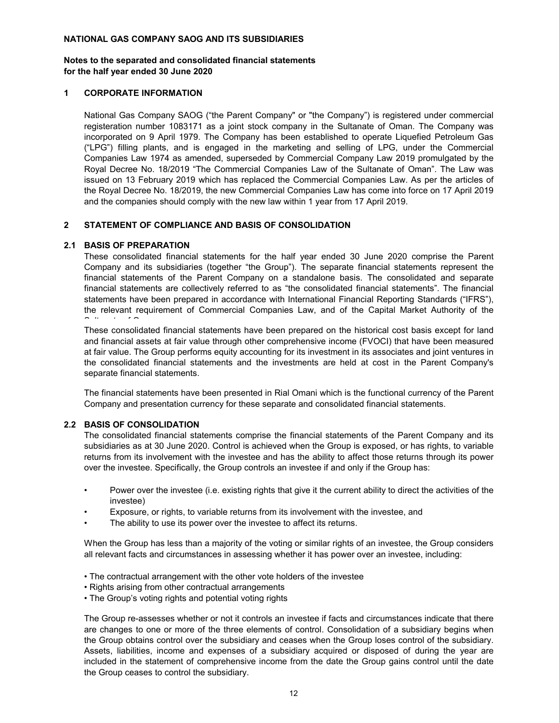#### **for the half year ended 30 June 2020 Notes to the separated and consolidated financial statements**

#### **1 CORPORATE INFORMATION**

National Gas Company SAOG ("the Parent Company" or "the Company") is registered under commercial registeration number 1083171 as a joint stock company in the Sultanate of Oman. The Company was incorporated on 9 April 1979. The Company has been established to operate Liquefied Petroleum Gas ("LPG") filling plants, and is engaged in the marketing and selling of LPG, under the Commercial Companies Law 1974 as amended, superseded by Commercial Company Law 2019 promulgated by the Royal Decree No. 18/2019 "The Commercial Companies Law of the Sultanate of Oman". The Law was issued on 13 February 2019 which has replaced the Commercial Companies Law. As per the articles of the Royal Decree No. 18/2019, the new Commercial Companies Law has come into force on 17 April 2019 and the companies should comply with the new law within 1 year from 17 April 2019.

#### **2 STATEMENT OF COMPLIANCE AND BASIS OF CONSOLIDATION**

#### **2.1 BASIS OF PREPARATION**

These consolidated financial statements for the half year ended 30 June 2020 comprise the Parent Company and its subsidiaries (together "the Group"). The separate financial statements represent the financial statements of the Parent Company on a standalone basis. The consolidated and separate financial statements are collectively referred to as "the consolidated financial statements". The financial statements have been prepared in accordance with International Financial Reporting Standards ("IFRS"), the relevant requirement of Commercial Companies Law, and of the Capital Market Authority of the  $\sim$  10  $\pm$  10  $\pm$  0.000  $\pm$ 

These consolidated financial statements have been prepared on the historical cost basis except for land and financial assets at fair value through other comprehensive income (FVOCI) that have been measured at fair value. The Group performs equity accounting for its investment in its associates and joint ventures in the consolidated financial statements and the investments are held at cost in the Parent Company's separate financial statements.

The financial statements have been presented in Rial Omani which is the functional currency of the Parent Company and presentation currency for these separate and consolidated financial statements.

#### **2.2 BASIS OF CONSOLIDATION**

The consolidated financial statements comprise the financial statements of the Parent Company and its subsidiaries as at 30 June 2020. Control is achieved when the Group is exposed, or has rights, to variable returns from its involvement with the investee and has the ability to affect those returns through its power over the investee. Specifically, the Group controls an investee if and only if the Group has:

- Power over the investee (i.e. existing rights that give it the current ability to direct the activities of the investee)
- Exposure, or rights, to variable returns from its involvement with the investee, and
- The ability to use its power over the investee to affect its returns.

When the Group has less than a majority of the voting or similar rights of an investee, the Group considers all relevant facts and circumstances in assessing whether it has power over an investee, including:

- The contractual arrangement with the other vote holders of the investee
- Rights arising from other contractual arrangements
- The Group's voting rights and potential voting rights

The Group re-assesses whether or not it controls an investee if facts and circumstances indicate that there are changes to one or more of the three elements of control. Consolidation of a subsidiary begins when the Group obtains control over the subsidiary and ceases when the Group loses control of the subsidiary. Assets, liabilities, income and expenses of a subsidiary acquired or disposed of during the year are included in the statement of comprehensive income from the date the Group gains control until the date the Group ceases to control the subsidiary.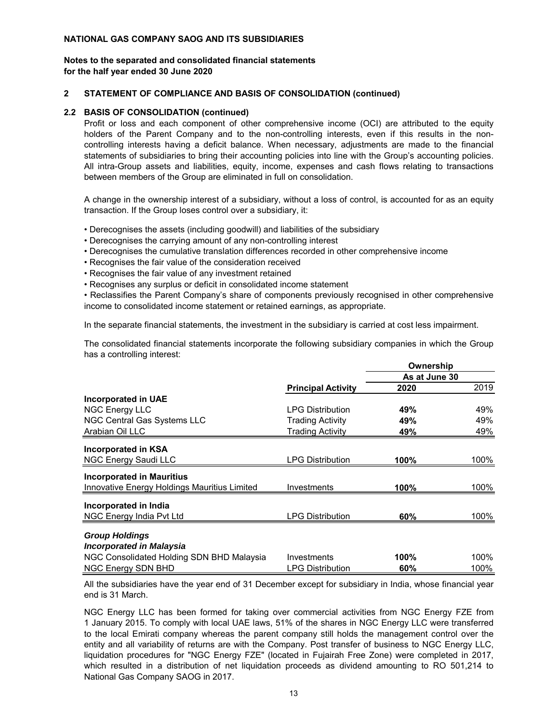#### **for the half year ended 30 June 2020 Notes to the separated and consolidated financial statements**

#### **2 STATEMENT OF COMPLIANCE AND BASIS OF CONSOLIDATION (continued)**

#### **2.2 BASIS OF CONSOLIDATION (continued)**

Profit or loss and each component of other comprehensive income (OCI) are attributed to the equity holders of the Parent Company and to the non-controlling interests, even if this results in the noncontrolling interests having a deficit balance. When necessary, adjustments are made to the financial statements of subsidiaries to bring their accounting policies into line with the Group's accounting policies. All intra-Group assets and liabilities, equity, income, expenses and cash flows relating to transactions between members of the Group are eliminated in full on consolidation.

A change in the ownership interest of a subsidiary, without a loss of control, is accounted for as an equity transaction. If the Group loses control over a subsidiary, it:

- Derecognises the assets (including goodwill) and liabilities of the subsidiary
- Derecognises the carrying amount of any non-controlling interest
- Derecognises the cumulative translation differences recorded in other comprehensive income
- Recognises the fair value of the consideration received
- Recognises the fair value of any investment retained
- Recognises any surplus or deficit in consolidated income statement

• Reclassifies the Parent Company's share of components previously recognised in other comprehensive income to consolidated income statement or retained earnings, as appropriate.

In the separate financial statements, the investment in the subsidiary is carried at cost less impairment.

The consolidated financial statements incorporate the following subsidiary companies in which the Group has a controlling interest:

|                                              |                                                                                                                                                                          | Ownership     |      |
|----------------------------------------------|--------------------------------------------------------------------------------------------------------------------------------------------------------------------------|---------------|------|
|                                              | <b>Principal Activity</b><br><b>LPG Distribution</b><br>Trading Activity<br><b>Trading Activity</b><br><b>LPG Distribution</b><br>Investments<br><b>LPG Distribution</b> | As at June 30 |      |
|                                              |                                                                                                                                                                          | 2020          | 2019 |
| <b>Incorporated in UAE</b>                   |                                                                                                                                                                          |               |      |
| <b>NGC Energy LLC</b>                        |                                                                                                                                                                          | 49%           | 49%  |
| NGC Central Gas Systems LLC                  |                                                                                                                                                                          | 49%           | 49%  |
| Arabian Oil LLC                              |                                                                                                                                                                          | 49%           | 49%  |
| <b>Incorporated in KSA</b>                   |                                                                                                                                                                          |               |      |
| <b>NGC Energy Saudi LLC</b>                  |                                                                                                                                                                          | 100%          | 100% |
| <b>Incorporated in Mauritius</b>             |                                                                                                                                                                          |               |      |
| Innovative Energy Holdings Mauritius Limited |                                                                                                                                                                          | 100%          | 100% |
| Incorporated in India                        |                                                                                                                                                                          |               |      |
| NGC Energy India Pvt Ltd                     |                                                                                                                                                                          | 60%           | 100% |
| <b>Group Holdings</b>                        |                                                                                                                                                                          |               |      |
| <b>Incorporated in Malaysia</b>              |                                                                                                                                                                          |               |      |
|                                              |                                                                                                                                                                          |               |      |
| NGC Consolidated Holding SDN BHD Malaysia    | Investments                                                                                                                                                              | 100%          | 100% |
| NGC Energy SDN BHD                           | <b>LPG Distribution</b>                                                                                                                                                  | 60%           | 100% |

All the subsidiaries have the year end of 31 December except for subsidiary in India, whose financial year end is 31 March.

NGC Energy LLC has been formed for taking over commercial activities from NGC Energy FZE from 1 January 2015. To comply with local UAE laws, 51% of the shares in NGC Energy LLC were transferred to the local Emirati company whereas the parent company still holds the management control over the entity and all variability of returns are with the Company. Post transfer of business to NGC Energy LLC, liquidation procedures for "NGC Energy FZE" (located in Fujairah Free Zone) were completed in 2017, which resulted in a distribution of net liquidation proceeds as dividend amounting to RO 501,214 to National Gas Company SAOG in 2017.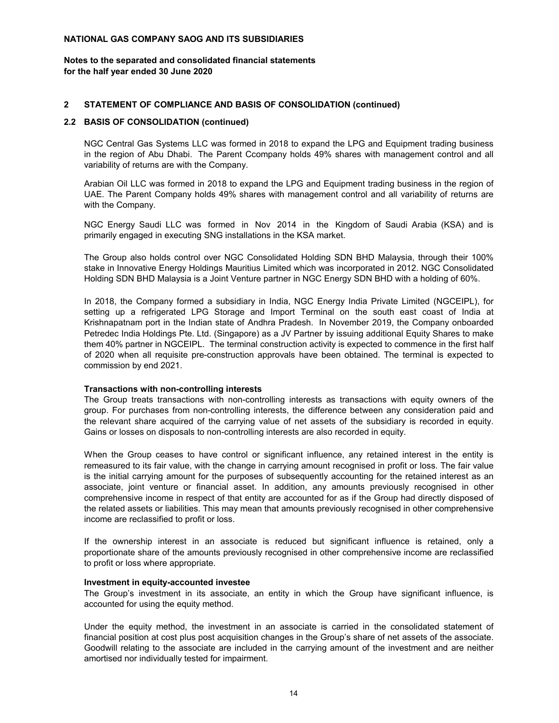#### **for the half year ended 30 June 2020 Notes to the separated and consolidated financial statements**

## **2 STATEMENT OF COMPLIANCE AND BASIS OF CONSOLIDATION (continued)**

#### **2.2 BASIS OF CONSOLIDATION (continued)**

NGC Central Gas Systems LLC was formed in 2018 to expand the LPG and Equipment trading business in the region of Abu Dhabi. The Parent Ccompany holds 49% shares with management control and all variability of returns are with the Company.

Arabian Oil LLC was formed in 2018 to expand the LPG and Equipment trading business in the region of UAE. The Parent Company holds 49% shares with management control and all variability of returns are with the Company.

NGC Energy Saudi LLC was formed in Nov 2014 in the Kingdom of Saudi Arabia (KSA) and is primarily engaged in executing SNG installations in the KSA market.

The Group also holds control over NGC Consolidated Holding SDN BHD Malaysia, through their 100% stake in Innovative Energy Holdings Mauritius Limited which was incorporated in 2012. NGC Consolidated Holding SDN BHD Malaysia is a Joint Venture partner in NGC Energy SDN BHD with a holding of 60%.

In 2018, the Company formed a subsidiary in India, NGC Energy India Private Limited (NGCEIPL), for setting up a refrigerated LPG Storage and Import Terminal on the south east coast of India at Krishnapatnam port in the Indian state of Andhra Pradesh. In November 2019, the Company onboarded Petredec India Holdings Pte. Ltd. (Singapore) as a JV Partner by issuing additional Equity Shares to make them 40% partner in NGCEIPL. The terminal construction activity is expected to commence in the first half of 2020 when all requisite pre-construction approvals have been obtained. The terminal is expected to commission by end 2021.

#### **Transactions with non-controlling interests**

The Group treats transactions with non-controlling interests as transactions with equity owners of the group. For purchases from non-controlling interests, the difference between any consideration paid and the relevant share acquired of the carrying value of net assets of the subsidiary is recorded in equity. Gains or losses on disposals to non-controlling interests are also recorded in equity.

When the Group ceases to have control or significant influence, any retained interest in the entity is remeasured to its fair value, with the change in carrying amount recognised in profit or loss. The fair value is the initial carrying amount for the purposes of subsequently accounting for the retained interest as an associate, joint venture or financial asset. In addition, any amounts previously recognised in other comprehensive income in respect of that entity are accounted for as if the Group had directly disposed of the related assets or liabilities. This may mean that amounts previously recognised in other comprehensive income are reclassified to profit or loss.

If the ownership interest in an associate is reduced but significant influence is retained, only a proportionate share of the amounts previously recognised in other comprehensive income are reclassified to profit or loss where appropriate.

#### **Investment in equity-accounted investee**

The Group's investment in its associate, an entity in which the Group have significant influence, is accounted for using the equity method.

Under the equity method, the investment in an associate is carried in the consolidated statement of financial position at cost plus post acquisition changes in the Group's share of net assets of the associate. Goodwill relating to the associate are included in the carrying amount of the investment and are neither amortised nor individually tested for impairment.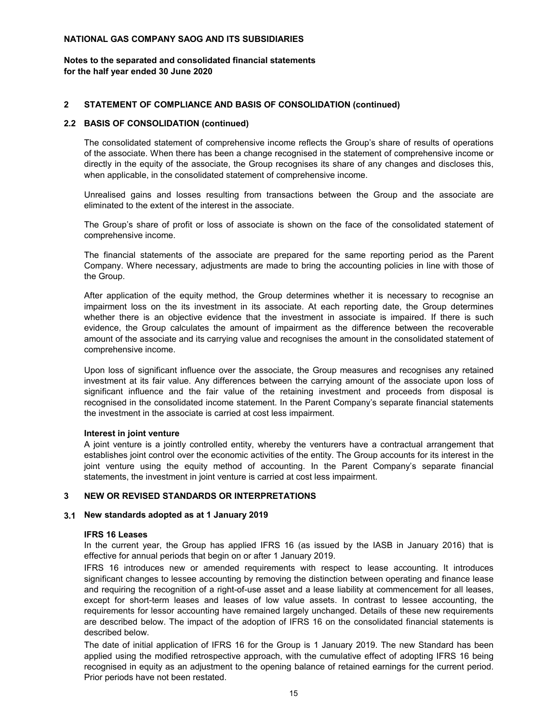#### **for the half year ended 30 June 2020 Notes to the separated and consolidated financial statements**

#### **2 STATEMENT OF COMPLIANCE AND BASIS OF CONSOLIDATION (continued)**

#### **2.2 BASIS OF CONSOLIDATION (continued)**

The consolidated statement of comprehensive income reflects the Group's share of results of operations of the associate. When there has been a change recognised in the statement of comprehensive income or directly in the equity of the associate, the Group recognises its share of any changes and discloses this, when applicable, in the consolidated statement of comprehensive income.

Unrealised gains and losses resulting from transactions between the Group and the associate are eliminated to the extent of the interest in the associate.

The Group's share of profit or loss of associate is shown on the face of the consolidated statement of comprehensive income.

The financial statements of the associate are prepared for the same reporting period as the Parent Company. Where necessary, adjustments are made to bring the accounting policies in line with those of the Group.

After application of the equity method, the Group determines whether it is necessary to recognise an impairment loss on the its investment in its associate. At each reporting date, the Group determines whether there is an objective evidence that the investment in associate is impaired. If there is such evidence, the Group calculates the amount of impairment as the difference between the recoverable amount of the associate and its carrying value and recognises the amount in the consolidated statement of comprehensive income.

Upon loss of significant influence over the associate, the Group measures and recognises any retained investment at its fair value. Any differences between the carrying amount of the associate upon loss of significant influence and the fair value of the retaining investment and proceeds from disposal is recognised in the consolidated income statement. In the Parent Company's separate financial statements the investment in the associate is carried at cost less impairment.

#### **Interest in joint venture**

A joint venture is a jointly controlled entity, whereby the venturers have a contractual arrangement that establishes joint control over the economic activities of the entity. The Group accounts for its interest in the joint venture using the equity method of accounting. In the Parent Company's separate financial statements, the investment in joint venture is carried at cost less impairment.

## **3 NEW OR REVISED STANDARDS OR INTERPRETATIONS**

#### **3.1 New standards adopted as at 1 January 2019**

#### **IFRS 16 Leases**

In the current year, the Group has applied IFRS 16 (as issued by the IASB in January 2016) that is effective for annual periods that begin on or after 1 January 2019.

IFRS 16 introduces new or amended requirements with respect to lease accounting. It introduces significant changes to lessee accounting by removing the distinction between operating and finance lease and requiring the recognition of a right-of-use asset and a lease liability at commencement for all leases, except for short-term leases and leases of low value assets. In contrast to lessee accounting, the requirements for lessor accounting have remained largely unchanged. Details of these new requirements are described below. The impact of the adoption of IFRS 16 on the consolidated financial statements is described below.

The date of initial application of IFRS 16 for the Group is 1 January 2019. The new Standard has been applied using the modified retrospective approach, with the cumulative effect of adopting IFRS 16 being recognised in equity as an adjustment to the opening balance of retained earnings for the current period. Prior periods have not been restated.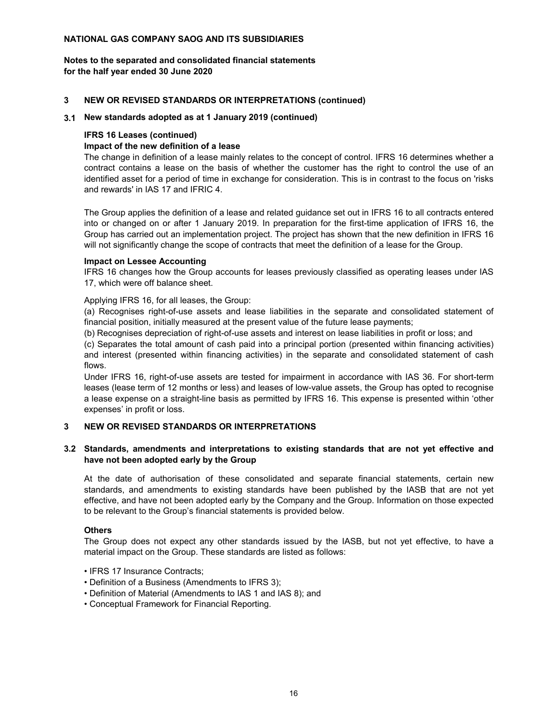#### **for the half year ended 30 June 2020 Notes to the separated and consolidated financial statements**

#### **3 NEW OR REVISED STANDARDS OR INTERPRETATIONS (continued)**

#### **3.1 New standards adopted as at 1 January 2019 (continued)**

#### **IFRS 16 Leases (continued)**

## **Impact of the new definition of a lease**

The change in definition of a lease mainly relates to the concept of control. IFRS 16 determines whether a contract contains a lease on the basis of whether the customer has the right to control the use of an identified asset for a period of time in exchange for consideration. This is in contrast to the focus on 'risks and rewards' in IAS 17 and IFRIC 4.

The Group applies the definition of a lease and related guidance set out in IFRS 16 to all contracts entered into or changed on or after 1 January 2019. In preparation for the first-time application of IFRS 16, the Group has carried out an implementation project. The project has shown that the new definition in IFRS 16 will not significantly change the scope of contracts that meet the definition of a lease for the Group.

## **Impact on Lessee Accounting**

IFRS 16 changes how the Group accounts for leases previously classified as operating leases under IAS 17, which were off balance sheet.

#### Applying IFRS 16, for all leases, the Group:

(a) Recognises right-of-use assets and lease liabilities in the separate and consolidated statement of financial position, initially measured at the present value of the future lease payments;

(b) Recognises depreciation of right-of-use assets and interest on lease liabilities in profit or loss; and

(c) Separates the total amount of cash paid into a principal portion (presented within financing activities) and interest (presented within financing activities) in the separate and consolidated statement of cash flows.

Under IFRS 16, right-of-use assets are tested for impairment in accordance with IAS 36. For short-term leases (lease term of 12 months or less) and leases of low-value assets, the Group has opted to recognise a lease expense on a straight-line basis as permitted by IFRS 16. This expense is presented within 'other expenses' in profit or loss.

## **3 NEW OR REVISED STANDARDS OR INTERPRETATIONS**

## **3.2 Standards, amendments and interpretations to existing standards that are not yet effective and have not been adopted early by the Group**

At the date of authorisation of these consolidated and separate financial statements, certain new standards, and amendments to existing standards have been published by the IASB that are not yet effective, and have not been adopted early by the Company and the Group. Information on those expected to be relevant to the Group's financial statements is provided below.

#### **Others**

The Group does not expect any other standards issued by the IASB, but not yet effective, to have a material impact on the Group. These standards are listed as follows:

- IFRS 17 Insurance Contracts;
- Definition of a Business (Amendments to IFRS 3);
- Definition of Material (Amendments to IAS 1 and IAS 8); and
- Conceptual Framework for Financial Reporting.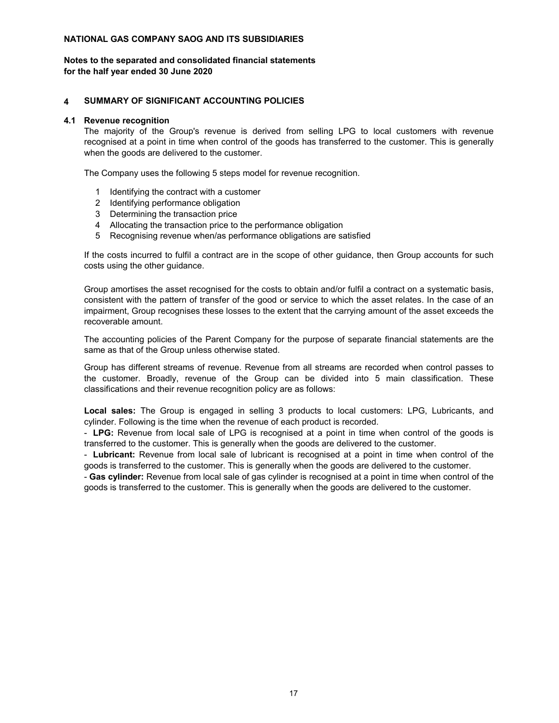#### **for the half year ended 30 June 2020 Notes to the separated and consolidated financial statements**

## **4 SUMMARY OF SIGNIFICANT ACCOUNTING POLICIES**

#### **4.1 Revenue recognition**

The majority of the Group's revenue is derived from selling LPG to local customers with revenue recognised at a point in time when control of the goods has transferred to the customer. This is generally when the goods are delivered to the customer.

The Company uses the following 5 steps model for revenue recognition.

- 1 Identifying the contract with a customer
- 2 Identifying performance obligation
- 3 Determining the transaction price
- 4 Allocating the transaction price to the performance obligation
- 5 Recognising revenue when/as performance obligations are satisfied

If the costs incurred to fulfil a contract are in the scope of other guidance, then Group accounts for such costs using the other guidance.

Group amortises the asset recognised for the costs to obtain and/or fulfil a contract on a systematic basis, consistent with the pattern of transfer of the good or service to which the asset relates. In the case of an impairment, Group recognises these losses to the extent that the carrying amount of the asset exceeds the recoverable amount.

The accounting policies of the Parent Company for the purpose of separate financial statements are the same as that of the Group unless otherwise stated.

Group has different streams of revenue. Revenue from all streams are recorded when control passes to the customer. Broadly, revenue of the Group can be divided into 5 main classification. These classifications and their revenue recognition policy are as follows:

**Local sales:** The Group is engaged in selling 3 products to local customers: LPG, Lubricants, and cylinder. Following is the time when the revenue of each product is recorded.

- **LPG:** Revenue from local sale of LPG is recognised at a point in time when control of the goods is transferred to the customer. This is generally when the goods are delivered to the customer.

- **Lubricant:** Revenue from local sale of lubricant is recognised at a point in time when control of the goods is transferred to the customer. This is generally when the goods are delivered to the customer.

- **Gas cylinder:** Revenue from local sale of gas cylinder is recognised at a point in time when control of the goods is transferred to the customer. This is generally when the goods are delivered to the customer.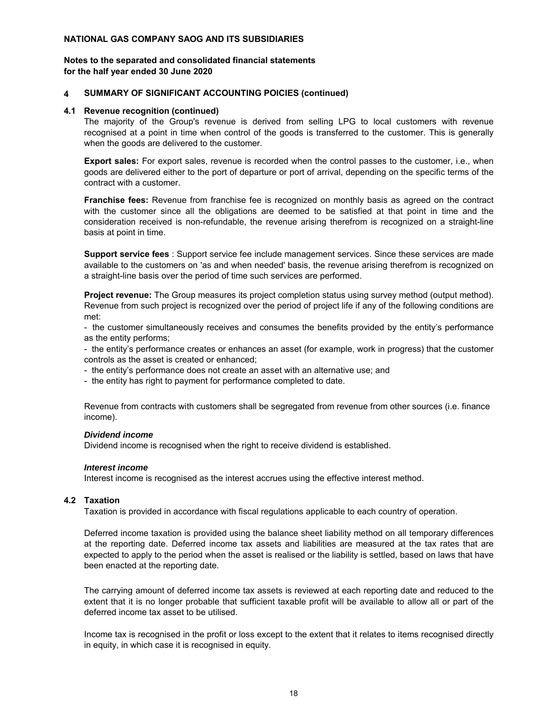#### **for the half year ended 30 June 2020 Notes to the separated and consolidated financial statements**

#### **4 SUMMARY OF SIGNIFICANT ACCOUNTING POICIES (continued)**

#### **4.1 Revenue recognition (continued)**

The majority of the Group's revenue is derived from selling LPG to local customers with revenue recognised at a point in time when control of the goods is transferred to the customer. This is generally when the goods are delivered to the customer.

**Export sales:** For export sales, revenue is recorded when the control passes to the customer, i.e., when goods are delivered either to the port of departure or port of arrival, depending on the specific terms of the contract with a customer.

**Franchise fees:** Revenue from franchise fee is recognized on monthly basis as agreed on the contract with the customer since all the obligations are deemed to be satisfied at that point in time and the consideration received is non-refundable, the revenue arising therefrom is recognized on a straight-line basis at point in time.

**Support service fees** : Support service fee include management services. Since these services are made available to the customers on 'as and when needed' basis, the revenue arising therefrom is recognized on a straight-line basis over the period of time such services are performed.

**Project revenue:** The Group measures its project completion status using survey method (output method). Revenue from such project is recognized over the period of project life if any of the following conditions are met:

- the customer simultaneously receives and consumes the benefits provided by the entity's performance as the entity performs;

- the entity's performance creates or enhances an asset (for example, work in progress) that the customer controls as the asset is created or enhanced;

- the entity's performance does not create an asset with an alternative use; and

- the entity has right to payment for performance completed to date.

Revenue from contracts with customers shall be segregated from revenue from other sources (i.e. finance income).

## *Dividend income*

Dividend income is recognised when the right to receive dividend is established.

#### *Interest income*

Interest income is recognised as the interest accrues using the effective interest method.

#### **4.2 Taxation**

Taxation is provided in accordance with fiscal regulations applicable to each country of operation.

Deferred income taxation is provided using the balance sheet liability method on all temporary differences at the reporting date. Deferred income tax assets and liabilities are measured at the tax rates that are expected to apply to the period when the asset is realised or the liability is settled, based on laws that have been enacted at the reporting date.

The carrying amount of deferred income tax assets is reviewed at each reporting date and reduced to the extent that it is no longer probable that sufficient taxable profit will be available to allow all or part of the deferred income tax asset to be utilised.

Income tax is recognised in the profit or loss except to the extent that it relates to items recognised directly in equity, in which case it is recognised in equity.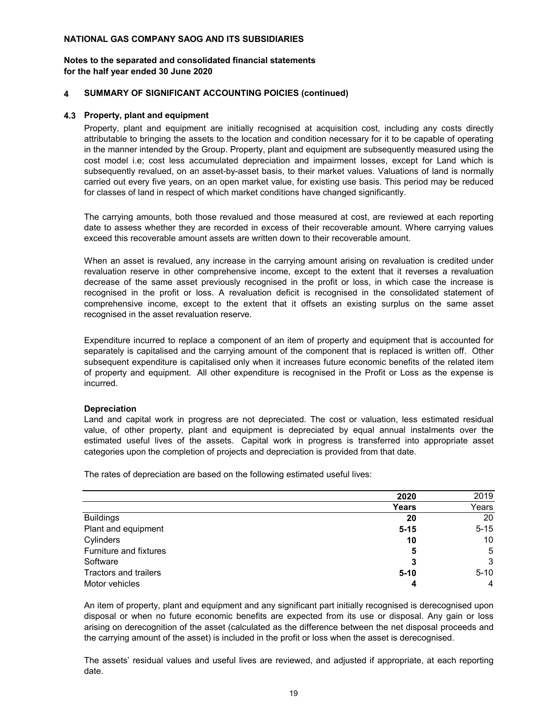#### **for the half year ended 30 June 2020 Notes to the separated and consolidated financial statements**

#### **4 SUMMARY OF SIGNIFICANT ACCOUNTING POICIES (continued)**

#### **4.3 Property, plant and equipment**

Property, plant and equipment are initially recognised at acquisition cost, including any costs directly attributable to bringing the assets to the location and condition necessary for it to be capable of operating in the manner intended by the Group. Property, plant and equipment are subsequently measured using the cost model i.e; cost less accumulated depreciation and impairment losses, except for Land which is subsequently revalued, on an asset-by-asset basis, to their market values. Valuations of land is normally carried out every five years, on an open market value, for existing use basis. This period may be reduced for classes of land in respect of which market conditions have changed significantly.

The carrying amounts, both those revalued and those measured at cost, are reviewed at each reporting date to assess whether they are recorded in excess of their recoverable amount. Where carrying values exceed this recoverable amount assets are written down to their recoverable amount.

When an asset is revalued, any increase in the carrying amount arising on revaluation is credited under revaluation reserve in other comprehensive income, except to the extent that it reverses a revaluation decrease of the same asset previously recognised in the profit or loss, in which case the increase is recognised in the profit or loss. A revaluation deficit is recognised in the consolidated statement of comprehensive income, except to the extent that it offsets an existing surplus on the same asset recognised in the asset revaluation reserve.

Expenditure incurred to replace a component of an item of property and equipment that is accounted for separately is capitalised and the carrying amount of the component that is replaced is written off. Other subsequent expenditure is capitalised only when it increases future economic benefits of the related item of property and equipment. All other expenditure is recognised in the Profit or Loss as the expense is incurred.

#### **Depreciation**

Land and capital work in progress are not depreciated. The cost or valuation, less estimated residual value, of other property, plant and equipment is depreciated by equal annual instalments over the estimated useful lives of the assets. Capital work in progress is transferred into appropriate asset categories upon the completion of projects and depreciation is provided from that date.

The rates of depreciation are based on the following estimated useful lives:

|                        | 2020     | 2019           |
|------------------------|----------|----------------|
|                        | Years    | Years          |
| <b>Buildings</b>       | 20       | 20             |
| Plant and equipment    | $5 - 15$ | $5 - 15$       |
| Cylinders              | 10       | 10             |
| Furniture and fixtures | 5        | 5              |
| Software               | З        | 3              |
| Tractors and trailers  | $5 - 10$ | $5 - 10$       |
| Motor vehicles         |          | $\overline{4}$ |

An item of property, plant and equipment and any significant part initially recognised is derecognised upon disposal or when no future economic benefits are expected from its use or disposal. Any gain or loss arising on derecognition of the asset (calculated as the difference between the net disposal proceeds and the carrying amount of the asset) is included in the profit or loss when the asset is derecognised.

The assets' residual values and useful lives are reviewed, and adjusted if appropriate, at each reporting date.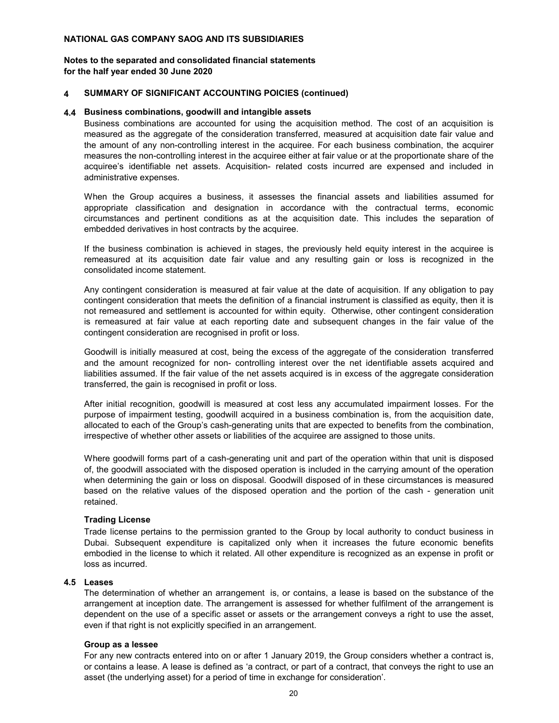#### **for the half year ended 30 June 2020 Notes to the separated and consolidated financial statements**

#### **4 SUMMARY OF SIGNIFICANT ACCOUNTING POICIES (continued)**

#### **4.4 Business combinations, goodwill and intangible assets**

Business combinations are accounted for using the acquisition method. The cost of an acquisition is measured as the aggregate of the consideration transferred, measured at acquisition date fair value and the amount of any non-controlling interest in the acquiree. For each business combination, the acquirer measures the non-controlling interest in the acquiree either at fair value or at the proportionate share of the acquiree's identifiable net assets. Acquisition- related costs incurred are expensed and included in administrative expenses.

When the Group acquires a business, it assesses the financial assets and liabilities assumed for appropriate classification and designation in accordance with the contractual terms, economic circumstances and pertinent conditions as at the acquisition date. This includes the separation of embedded derivatives in host contracts by the acquiree.

If the business combination is achieved in stages, the previously held equity interest in the acquiree is remeasured at its acquisition date fair value and any resulting gain or loss is recognized in the consolidated income statement.

Any contingent consideration is measured at fair value at the date of acquisition. If any obligation to pay contingent consideration that meets the definition of a financial instrument is classified as equity, then it is not remeasured and settlement is accounted for within equity. Otherwise, other contingent consideration is remeasured at fair value at each reporting date and subsequent changes in the fair value of the contingent consideration are recognised in profit or loss.

Goodwill is initially measured at cost, being the excess of the aggregate of the consideration transferred and the amount recognized for non- controlling interest over the net identifiable assets acquired and liabilities assumed. If the fair value of the net assets acquired is in excess of the aggregate consideration transferred, the gain is recognised in profit or loss.

After initial recognition, goodwill is measured at cost less any accumulated impairment losses. For the purpose of impairment testing, goodwill acquired in a business combination is, from the acquisition date, allocated to each of the Group's cash-generating units that are expected to benefits from the combination, irrespective of whether other assets or liabilities of the acquiree are assigned to those units.

Where goodwill forms part of a cash-generating unit and part of the operation within that unit is disposed of, the goodwill associated with the disposed operation is included in the carrying amount of the operation when determining the gain or loss on disposal. Goodwill disposed of in these circumstances is measured based on the relative values of the disposed operation and the portion of the cash - generation unit retained.

#### **Trading License**

Trade license pertains to the permission granted to the Group by local authority to conduct business in Dubai. Subsequent expenditure is capitalized only when it increases the future economic benefits embodied in the license to which it related. All other expenditure is recognized as an expense in profit or loss as incurred.

## **4.5 Leases**

The determination of whether an arrangement is, or contains, a lease is based on the substance of the arrangement at inception date. The arrangement is assessed for whether fulfilment of the arrangement is dependent on the use of a specific asset or assets or the arrangement conveys a right to use the asset, even if that right is not explicitly specified in an arrangement.

#### **Group as a lessee**

For any new contracts entered into on or after 1 January 2019, the Group considers whether a contract is, or contains a lease. A lease is defined as 'a contract, or part of a contract, that conveys the right to use an asset (the underlying asset) for a period of time in exchange for consideration'.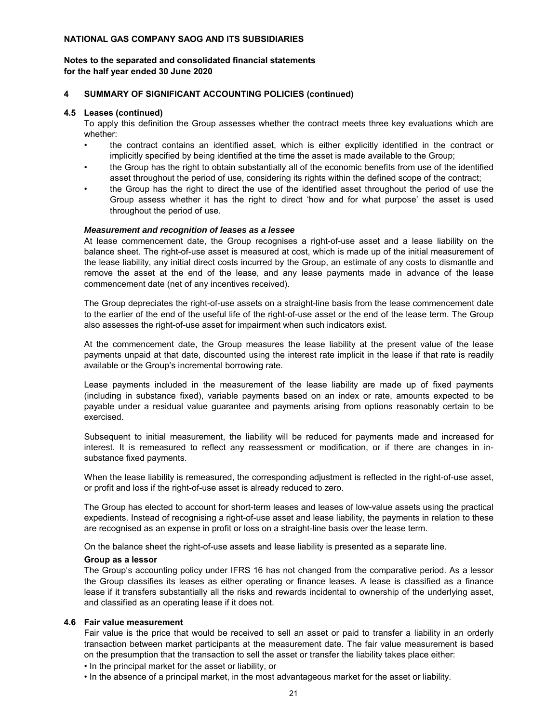#### **for the half year ended 30 June 2020 Notes to the separated and consolidated financial statements**

#### **4 SUMMARY OF SIGNIFICANT ACCOUNTING POLICIES (continued)**

#### **4.5 Leases (continued)**

To apply this definition the Group assesses whether the contract meets three key evaluations which are whether:

- the contract contains an identified asset, which is either explicitly identified in the contract or implicitly specified by being identified at the time the asset is made available to the Group;
- the Group has the right to obtain substantially all of the economic benefits from use of the identified asset throughout the period of use, considering its rights within the defined scope of the contract;
- the Group has the right to direct the use of the identified asset throughout the period of use the Group assess whether it has the right to direct 'how and for what purpose' the asset is used throughout the period of use.

#### *Measurement and recognition of leases as a lessee*

At lease commencement date, the Group recognises a right-of-use asset and a lease liability on the balance sheet. The right-of-use asset is measured at cost, which is made up of the initial measurement of the lease liability, any initial direct costs incurred by the Group, an estimate of any costs to dismantle and remove the asset at the end of the lease, and any lease payments made in advance of the lease commencement date (net of any incentives received).

The Group depreciates the right-of-use assets on a straight-line basis from the lease commencement date to the earlier of the end of the useful life of the right-of-use asset or the end of the lease term. The Group also assesses the right-of-use asset for impairment when such indicators exist.

At the commencement date, the Group measures the lease liability at the present value of the lease payments unpaid at that date, discounted using the interest rate implicit in the lease if that rate is readily available or the Group's incremental borrowing rate.

Lease payments included in the measurement of the lease liability are made up of fixed payments (including in substance fixed), variable payments based on an index or rate, amounts expected to be payable under a residual value guarantee and payments arising from options reasonably certain to be exercised.

Subsequent to initial measurement, the liability will be reduced for payments made and increased for interest. It is remeasured to reflect any reassessment or modification, or if there are changes in insubstance fixed payments.

When the lease liability is remeasured, the corresponding adjustment is reflected in the right-of-use asset, or profit and loss if the right-of-use asset is already reduced to zero.

The Group has elected to account for short-term leases and leases of low-value assets using the practical expedients. Instead of recognising a right-of-use asset and lease liability, the payments in relation to these are recognised as an expense in profit or loss on a straight-line basis over the lease term.

On the balance sheet the right-of-use assets and lease liability is presented as a separate line.

#### **Group as a lessor**

The Group's accounting policy under IFRS 16 has not changed from the comparative period. As a lessor the Group classifies its leases as either operating or finance leases. A lease is classified as a finance lease if it transfers substantially all the risks and rewards incidental to ownership of the underlying asset, and classified as an operating lease if it does not.

#### **4.6 Fair value measurement**

Fair value is the price that would be received to sell an asset or paid to transfer a liability in an orderly transaction between market participants at the measurement date. The fair value measurement is based on the presumption that the transaction to sell the asset or transfer the liability takes place either:

• In the principal market for the asset or liability, or

• In the absence of a principal market, in the most advantageous market for the asset or liability.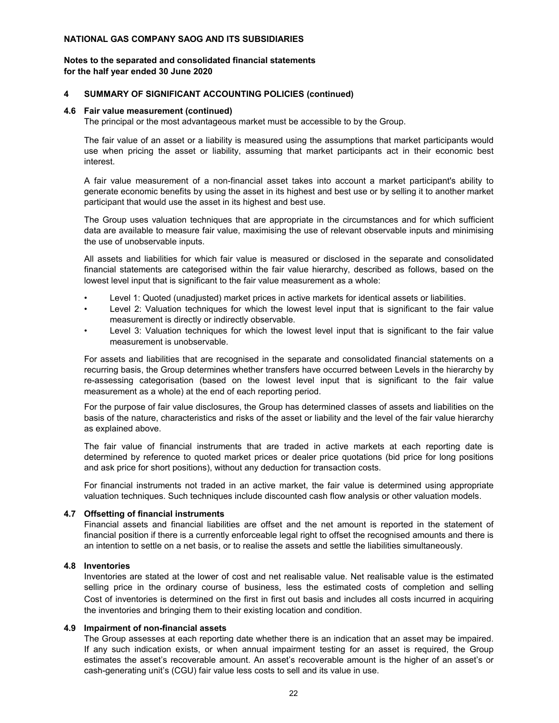#### **for the half year ended 30 June 2020 Notes to the separated and consolidated financial statements**

#### **4 SUMMARY OF SIGNIFICANT ACCOUNTING POLICIES (continued)**

#### **4.6 Fair value measurement (continued)**

The principal or the most advantageous market must be accessible to by the Group.

The fair value of an asset or a liability is measured using the assumptions that market participants would use when pricing the asset or liability, assuming that market participants act in their economic best interest.

A fair value measurement of a non-financial asset takes into account a market participant's ability to generate economic benefits by using the asset in its highest and best use or by selling it to another market participant that would use the asset in its highest and best use.

The Group uses valuation techniques that are appropriate in the circumstances and for which sufficient data are available to measure fair value, maximising the use of relevant observable inputs and minimising the use of unobservable inputs.

All assets and liabilities for which fair value is measured or disclosed in the separate and consolidated financial statements are categorised within the fair value hierarchy, described as follows, based on the lowest level input that is significant to the fair value measurement as a whole:

- Level 1: Quoted (unadjusted) market prices in active markets for identical assets or liabilities.
- Level 2: Valuation techniques for which the lowest level input that is significant to the fair value measurement is directly or indirectly observable.
- Level 3: Valuation techniques for which the lowest level input that is significant to the fair value measurement is unobservable.

For assets and liabilities that are recognised in the separate and consolidated financial statements on a recurring basis, the Group determines whether transfers have occurred between Levels in the hierarchy by re-assessing categorisation (based on the lowest level input that is significant to the fair value measurement as a whole) at the end of each reporting period.

For the purpose of fair value disclosures, the Group has determined classes of assets and liabilities on the basis of the nature, characteristics and risks of the asset or liability and the level of the fair value hierarchy as explained above.

The fair value of financial instruments that are traded in active markets at each reporting date is determined by reference to quoted market prices or dealer price quotations (bid price for long positions and ask price for short positions), without any deduction for transaction costs.

For financial instruments not traded in an active market, the fair value is determined using appropriate valuation techniques. Such techniques include discounted cash flow analysis or other valuation models.

#### **4.7 Offsetting of financial instruments**

Financial assets and financial liabilities are offset and the net amount is reported in the statement of financial position if there is a currently enforceable legal right to offset the recognised amounts and there is an intention to settle on a net basis, or to realise the assets and settle the liabilities simultaneously.

## **4.8 Inventories**

Inventories are stated at the lower of cost and net realisable value. Net realisable value is the estimated selling price in the ordinary course of business, less the estimated costs of completion and selling Cost of inventories is determined on the first in first out basis and includes all costs incurred in acquiring the inventories and bringing them to their existing location and condition.

#### **4.9 Impairment of non-financial assets**

The Group assesses at each reporting date whether there is an indication that an asset may be impaired. If any such indication exists, or when annual impairment testing for an asset is required, the Group estimates the asset's recoverable amount. An asset's recoverable amount is the higher of an asset's or cash-generating unit's (CGU) fair value less costs to sell and its value in use.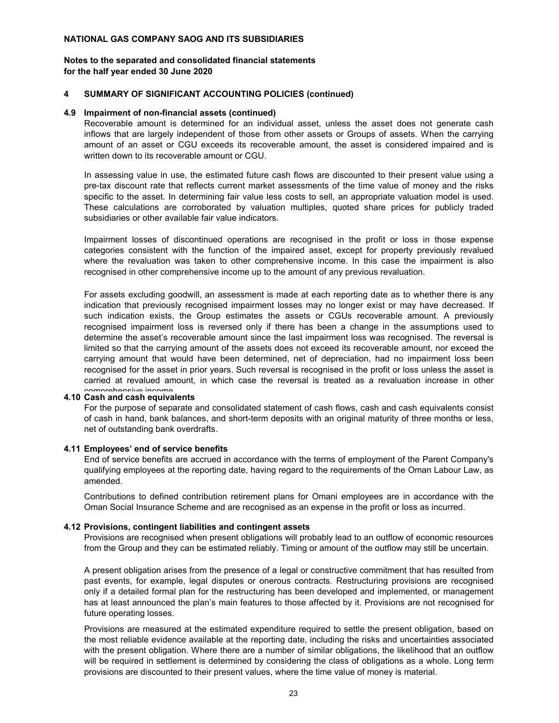#### **for the half year ended 30 June 2020 Notes to the separated and consolidated financial statements**

#### **4 SUMMARY OF SIGNIFICANT ACCOUNTING POLICIES (continued)**

#### **4.9 Impairment of non-financial assets (continued)**

Recoverable amount is determined for an individual asset, unless the asset does not generate cash inflows that are largely independent of those from other assets or Groups of assets. When the carrying amount of an asset or CGU exceeds its recoverable amount, the asset is considered impaired and is written down to its recoverable amount or CGU.

In assessing value in use, the estimated future cash flows are discounted to their present value using a pre-tax discount rate that reflects current market assessments of the time value of money and the risks specific to the asset. In determining fair value less costs to sell, an appropriate valuation model is used. These calculations are corroborated by valuation multiples, quoted share prices for publicly traded subsidiaries or other available fair value indicators.

Impairment losses of discontinued operations are recognised in the profit or loss in those expense categories consistent with the function of the impaired asset, except for property previously revalued where the revaluation was taken to other comprehensive income. In this case the impairment is also recognised in other comprehensive income up to the amount of any previous revaluation.

For assets excluding goodwill, an assessment is made at each reporting date as to whether there is any indication that previously recognised impairment losses may no longer exist or may have decreased. If such indication exists, the Group estimates the assets or CGUs recoverable amount. A previously recognised impairment loss is reversed only if there has been a change in the assumptions used to determine the asset's recoverable amount since the last impairment loss was recognised. The reversal is limited so that the carrying amount of the assets does not exceed its recoverable amount, nor exceed the carrying amount that would have been determined, net of depreciation, had no impairment loss been recognised for the asset in prior years. Such reversal is recognised in the profit or loss unless the asset is carried at revalued amount, in which case the reversal is treated as a revaluation increase in other

# **4.10 Cash and cash equivalents** comprehensive income

For the purpose of separate and consolidated statement of cash flows, cash and cash equivalents consist of cash in hand, bank balances, and short-term deposits with an original maturity of three months or less, net of outstanding bank overdrafts.

#### **4.11 Employees' end of service benefits**

End of service benefits are accrued in accordance with the terms of employment of the Parent Company's qualifying employees at the reporting date, having regard to the requirements of the Oman Labour Law, as amended.

Contributions to defined contribution retirement plans for Omani employees are in accordance with the Oman Social Insurance Scheme and are recognised as an expense in the profit or loss as incurred.

#### **4.12 Provisions, contingent liabilities and contingent assets**

Provisions are recognised when present obligations will probably lead to an outflow of economic resources from the Group and they can be estimated reliably. Timing or amount of the outflow may still be uncertain.

A present obligation arises from the presence of a legal or constructive commitment that has resulted from past events, for example, legal disputes or onerous contracts. Restructuring provisions are recognised only if a detailed formal plan for the restructuring has been developed and implemented, or management has at least announced the plan's main features to those affected by it. Provisions are not recognised for future operating losses.

Provisions are measured at the estimated expenditure required to settle the present obligation, based on the most reliable evidence available at the reporting date, including the risks and uncertainties associated with the present obligation. Where there are a number of similar obligations, the likelihood that an outflow will be required in settlement is determined by considering the class of obligations as a whole. Long term provisions are discounted to their present values, where the time value of money is material.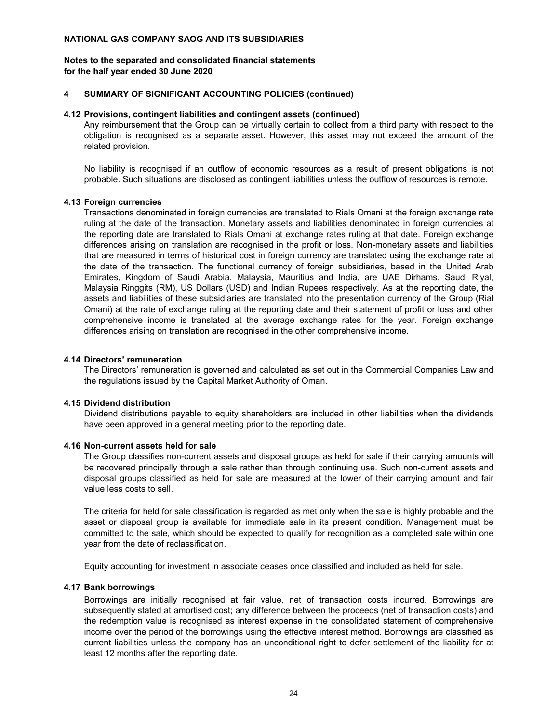#### **for the half year ended 30 June 2020 Notes to the separated and consolidated financial statements**

#### **4 SUMMARY OF SIGNIFICANT ACCOUNTING POLICIES (continued)**

#### **4.12 Provisions, contingent liabilities and contingent assets (continued)**

Any reimbursement that the Group can be virtually certain to collect from a third party with respect to the obligation is recognised as a separate asset. However, this asset may not exceed the amount of the related provision.

No liability is recognised if an outflow of economic resources as a result of present obligations is not probable. Such situations are disclosed as contingent liabilities unless the outflow of resources is remote.

#### **4.13 Foreign currencies**

Transactions denominated in foreign currencies are translated to Rials Omani at the foreign exchange rate ruling at the date of the transaction. Monetary assets and liabilities denominated in foreign currencies at the reporting date are translated to Rials Omani at exchange rates ruling at that date. Foreign exchange differences arising on translation are recognised in the profit or loss. Non-monetary assets and liabilities that are measured in terms of historical cost in foreign currency are translated using the exchange rate at the date of the transaction. The functional currency of foreign subsidiaries, based in the United Arab Emirates, Kingdom of Saudi Arabia, Malaysia, Mauritius and India, are UAE Dirhams, Saudi Riyal, Malaysia Ringgits (RM), US Dollars (USD) and Indian Rupees respectively. As at the reporting date, the assets and liabilities of these subsidiaries are translated into the presentation currency of the Group (Rial Omani) at the rate of exchange ruling at the reporting date and their statement of profit or loss and other comprehensive income is translated at the average exchange rates for the year. Foreign exchange differences arising on translation are recognised in the other comprehensive income.

#### **4.14 Directors' remuneration**

The Directors' remuneration is governed and calculated as set out in the Commercial Companies Law and the regulations issued by the Capital Market Authority of Oman.

#### **4.15 Dividend distribution**

Dividend distributions payable to equity shareholders are included in other liabilities when the dividends have been approved in a general meeting prior to the reporting date.

#### **4.16 Non-current assets held for sale**

The Group classifies non-current assets and disposal groups as held for sale if their carrying amounts will be recovered principally through a sale rather than through continuing use. Such non-current assets and disposal groups classified as held for sale are measured at the lower of their carrying amount and fair value less costs to sell.

The criteria for held for sale classification is regarded as met only when the sale is highly probable and the asset or disposal group is available for immediate sale in its present condition. Management must be committed to the sale, which should be expected to qualify for recognition as a completed sale within one year from the date of reclassification.

Equity accounting for investment in associate ceases once classified and included as held for sale.

## **4.17 Bank borrowings**

Borrowings are initially recognised at fair value, net of transaction costs incurred. Borrowings are subsequently stated at amortised cost; any difference between the proceeds (net of transaction costs) and the redemption value is recognised as interest expense in the consolidated statement of comprehensive income over the period of the borrowings using the effective interest method. Borrowings are classified as current liabilities unless the company has an unconditional right to defer settlement of the liability for at least 12 months after the reporting date.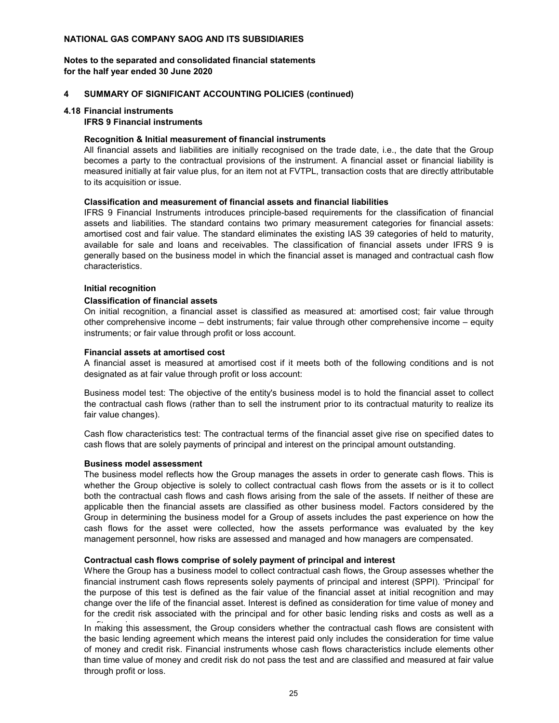#### **for the half year ended 30 June 2020 Notes to the separated and consolidated financial statements**

#### **4 SUMMARY OF SIGNIFICANT ACCOUNTING POLICIES (continued)**

#### **4.18 Financial instruments**

## **IFRS 9 Financial instruments**

#### **Recognition & Initial measurement of financial instruments**

All financial assets and liabilities are initially recognised on the trade date, i.e., the date that the Group becomes a party to the contractual provisions of the instrument. A financial asset or financial liability is measured initially at fair value plus, for an item not at FVTPL, transaction costs that are directly attributable to its acquisition or issue.

## **Classification and measurement of financial assets and financial liabilities**

IFRS 9 Financial Instruments introduces principle-based requirements for the classification of financial assets and liabilities. The standard contains two primary measurement categories for financial assets: amortised cost and fair value. The standard eliminates the existing IAS 39 categories of held to maturity, available for sale and loans and receivables. The classification of financial assets under IFRS 9 is generally based on the business model in which the financial asset is managed and contractual cash flow characteristics.

#### **Initial recognition**

#### **Classification of financial assets**

On initial recognition, a financial asset is classified as measured at: amortised cost; fair value through other comprehensive income – debt instruments; fair value through other comprehensive income – equity instruments; or fair value through profit or loss account.

#### **Financial assets at amortised cost**

A financial asset is measured at amortised cost if it meets both of the following conditions and is not designated as at fair value through profit or loss account:

Business model test: The objective of the entity's business model is to hold the financial asset to collect the contractual cash flows (rather than to sell the instrument prior to its contractual maturity to realize its fair value changes).

Cash flow characteristics test: The contractual terms of the financial asset give rise on specified dates to cash flows that are solely payments of principal and interest on the principal amount outstanding.

## **Business model assessment**

The business model reflects how the Group manages the assets in order to generate cash flows. This is whether the Group objective is solely to collect contractual cash flows from the assets or is it to collect both the contractual cash flows and cash flows arising from the sale of the assets. If neither of these are applicable then the financial assets are classified as other business model. Factors considered by the Group in determining the business model for a Group of assets includes the past experience on how the cash flows for the asset were collected, how the assets performance was evaluated by the key management personnel, how risks are assessed and managed and how managers are compensated.

#### **Contractual cash flows comprise of solely payment of principal and interest**

Where the Group has a business model to collect contractual cash flows, the Group assesses whether the financial instrument cash flows represents solely payments of principal and interest (SPPI). 'Principal' for the purpose of this test is defined as the fair value of the financial asset at initial recognition and may change over the life of the financial asset. Interest is defined as consideration for time value of money and for the credit risk associated with the principal and for other basic lending risks and costs as well as a

In making this assessment, the Group considers whether the contractual cash flows are consistent with the basic lending agreement which means the interest paid only includes the consideration for time value of money and credit risk. Financial instruments whose cash flows characteristics include elements other than time value of money and credit risk do not pass the test and are classified and measured at fair value through profit or loss.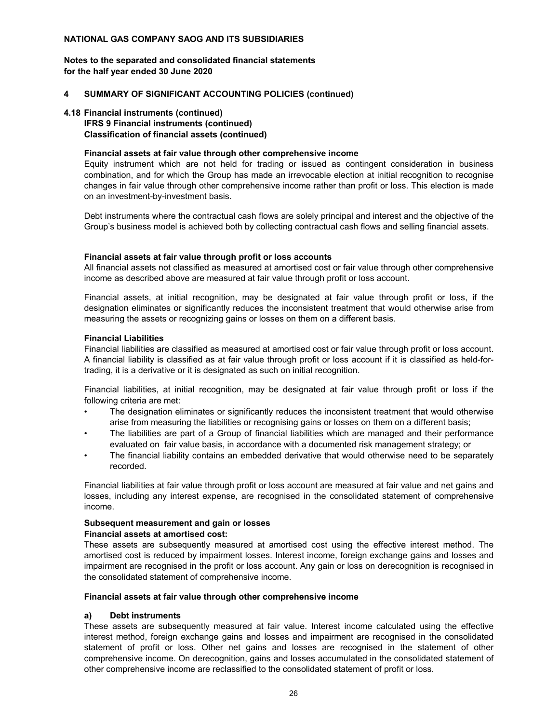**for the half year ended 30 June 2020 Notes to the separated and consolidated financial statements**

#### **4 SUMMARY OF SIGNIFICANT ACCOUNTING POLICIES (continued)**

#### **4.18 Financial instruments (continued)**

## **IFRS 9 Financial instruments (continued) Classification of financial assets (continued)**

#### **Financial assets at fair value through other comprehensive income**

Equity instrument which are not held for trading or issued as contingent consideration in business combination, and for which the Group has made an irrevocable election at initial recognition to recognise changes in fair value through other comprehensive income rather than profit or loss. This election is made on an investment-by-investment basis.

Debt instruments where the contractual cash flows are solely principal and interest and the objective of the Group's business model is achieved both by collecting contractual cash flows and selling financial assets.

#### **Financial assets at fair value through profit or loss accounts**

All financial assets not classified as measured at amortised cost or fair value through other comprehensive income as described above are measured at fair value through profit or loss account.

Financial assets, at initial recognition, may be designated at fair value through profit or loss, if the designation eliminates or significantly reduces the inconsistent treatment that would otherwise arise from measuring the assets or recognizing gains or losses on them on a different basis.

#### **Financial Liabilities**

Financial liabilities are classified as measured at amortised cost or fair value through profit or loss account. A financial liability is classified as at fair value through profit or loss account if it is classified as held-fortrading, it is a derivative or it is designated as such on initial recognition.

Financial liabilities, at initial recognition, may be designated at fair value through profit or loss if the following criteria are met:

- The designation eliminates or significantly reduces the inconsistent treatment that would otherwise arise from measuring the liabilities or recognising gains or losses on them on a different basis;
- The liabilities are part of a Group of financial liabilities which are managed and their performance evaluated on fair value basis, in accordance with a documented risk management strategy; or
- The financial liability contains an embedded derivative that would otherwise need to be separately recorded.

Financial liabilities at fair value through profit or loss account are measured at fair value and net gains and losses, including any interest expense, are recognised in the consolidated statement of comprehensive income.

# **Subsequent measurement and gain or losses**

## **Financial assets at amortised cost:**

These assets are subsequently measured at amortised cost using the effective interest method. The amortised cost is reduced by impairment losses. Interest income, foreign exchange gains and losses and impairment are recognised in the profit or loss account. Any gain or loss on derecognition is recognised in the consolidated statement of comprehensive income.

#### **Financial assets at fair value through other comprehensive income**

## **a) Debt instruments**

These assets are subsequently measured at fair value. Interest income calculated using the effective interest method, foreign exchange gains and losses and impairment are recognised in the consolidated statement of profit or loss. Other net gains and losses are recognised in the statement of other comprehensive income. On derecognition, gains and losses accumulated in the consolidated statement of other comprehensive income are reclassified to the consolidated statement of profit or loss.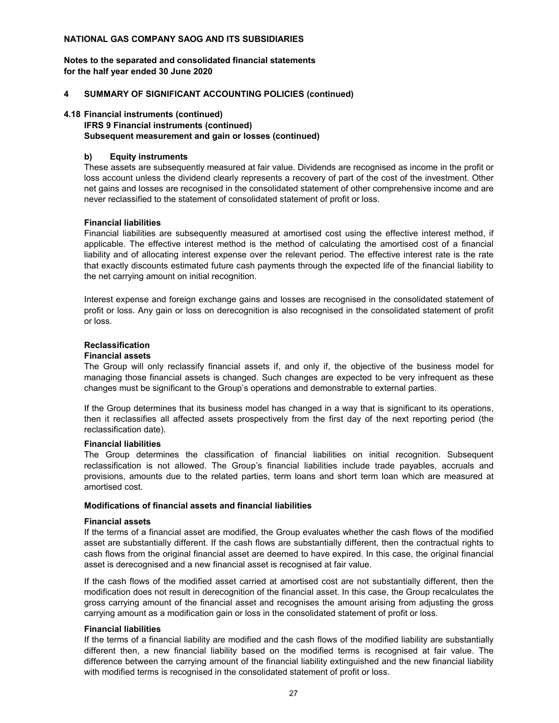**for the half year ended 30 June 2020 Notes to the separated and consolidated financial statements**

#### **4 SUMMARY OF SIGNIFICANT ACCOUNTING POLICIES (continued)**

#### **4.18 Financial instruments (continued)**

## **IFRS 9 Financial instruments (continued) Subsequent measurement and gain or losses (continued)**

## **b) Equity instruments**

These assets are subsequently measured at fair value. Dividends are recognised as income in the profit or loss account unless the dividend clearly represents a recovery of part of the cost of the investment. Other net gains and losses are recognised in the consolidated statement of other comprehensive income and are never reclassified to the statement of consolidated statement of profit or loss.

#### **Financial liabilities**

Financial liabilities are subsequently measured at amortised cost using the effective interest method, if applicable. The effective interest method is the method of calculating the amortised cost of a financial liability and of allocating interest expense over the relevant period. The effective interest rate is the rate that exactly discounts estimated future cash payments through the expected life of the financial liability to the net carrying amount on initial recognition.

Interest expense and foreign exchange gains and losses are recognised in the consolidated statement of profit or loss. Any gain or loss on derecognition is also recognised in the consolidated statement of profit or loss.

#### **Reclassification**

#### **Financial assets**

The Group will only reclassify financial assets if, and only if, the objective of the business model for managing those financial assets is changed. Such changes are expected to be very infrequent as these changes must be significant to the Group's operations and demonstrable to external parties.

If the Group determines that its business model has changed in a way that is significant to its operations, then it reclassifies all affected assets prospectively from the first day of the next reporting period (the reclassification date).

#### **Financial liabilities**

The Group determines the classification of financial liabilities on initial recognition. Subsequent reclassification is not allowed. The Group's financial liabilities include trade payables, accruals and provisions, amounts due to the related parties, term loans and short term loan which are measured at amortised cost.

#### **Modifications of financial assets and financial liabilities**

#### **Financial assets**

If the terms of a financial asset are modified, the Group evaluates whether the cash flows of the modified asset are substantially different. If the cash flows are substantially different, then the contractual rights to cash flows from the original financial asset are deemed to have expired. In this case, the original financial asset is derecognised and a new financial asset is recognised at fair value.

If the cash flows of the modified asset carried at amortised cost are not substantially different, then the modification does not result in derecognition of the financial asset. In this case, the Group recalculates the gross carrying amount of the financial asset and recognises the amount arising from adjusting the gross carrying amount as a modification gain or loss in the consolidated statement of profit or loss.

#### **Financial liabilities**

If the terms of a financial liability are modified and the cash flows of the modified liability are substantially different then, a new financial liability based on the modified terms is recognised at fair value. The difference between the carrying amount of the financial liability extinguished and the new financial liability with modified terms is recognised in the consolidated statement of profit or loss.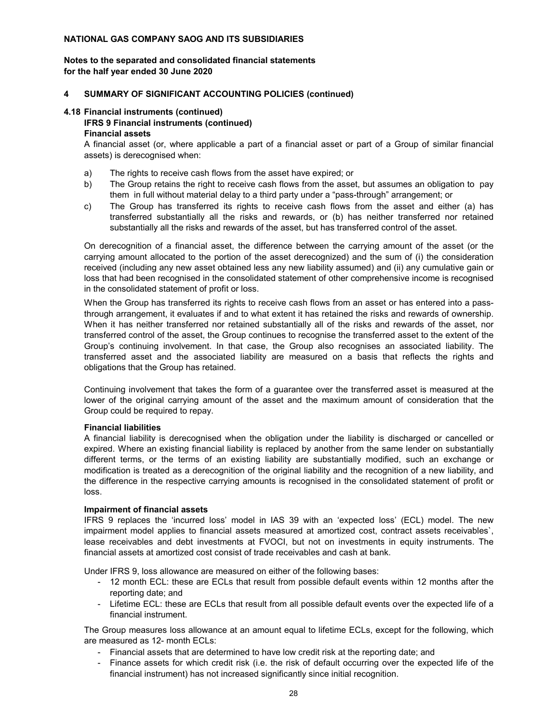#### **for the half year ended 30 June 2020 Notes to the separated and consolidated financial statements**

#### **4 SUMMARY OF SIGNIFICANT ACCOUNTING POLICIES (continued)**

#### **4.18 Financial instruments (continued)**

# **IFRS 9 Financial instruments (continued)**

#### **Financial assets**

A financial asset (or, where applicable a part of a financial asset or part of a Group of similar financial assets) is derecognised when:

- a) The rights to receive cash flows from the asset have expired; or
- b) The Group retains the right to receive cash flows from the asset, but assumes an obligation to pay them in full without material delay to a third party under a "pass-through" arrangement; or
- c) The Group has transferred its rights to receive cash flows from the asset and either (a) has transferred substantially all the risks and rewards, or (b) has neither transferred nor retained substantially all the risks and rewards of the asset, but has transferred control of the asset.

On derecognition of a financial asset, the difference between the carrying amount of the asset (or the carrying amount allocated to the portion of the asset derecognized) and the sum of (i) the consideration received (including any new asset obtained less any new liability assumed) and (ii) any cumulative gain or loss that had been recognised in the consolidated statement of other comprehensive income is recognised in the consolidated statement of profit or loss.

When the Group has transferred its rights to receive cash flows from an asset or has entered into a passthrough arrangement, it evaluates if and to what extent it has retained the risks and rewards of ownership. When it has neither transferred nor retained substantially all of the risks and rewards of the asset, nor transferred control of the asset, the Group continues to recognise the transferred asset to the extent of the Group's continuing involvement. In that case, the Group also recognises an associated liability. The transferred asset and the associated liability are measured on a basis that reflects the rights and obligations that the Group has retained.

Continuing involvement that takes the form of a guarantee over the transferred asset is measured at the lower of the original carrying amount of the asset and the maximum amount of consideration that the Group could be required to repay.

#### **Financial liabilities**

A financial liability is derecognised when the obligation under the liability is discharged or cancelled or expired. Where an existing financial liability is replaced by another from the same lender on substantially different terms, or the terms of an existing liability are substantially modified, such an exchange or modification is treated as a derecognition of the original liability and the recognition of a new liability, and the difference in the respective carrying amounts is recognised in the consolidated statement of profit or loss.

#### **Impairment of financial assets**

IFRS 9 replaces the 'incurred loss' model in IAS 39 with an 'expected loss' (ECL) model. The new impairment model applies to financial assets measured at amortized cost, contract assets receivables`, lease receivables and debt investments at FVOCI, but not on investments in equity instruments. The financial assets at amortized cost consist of trade receivables and cash at bank.

Under IFRS 9, loss allowance are measured on either of the following bases:

- 12 month ECL: these are ECLs that result from possible default events within 12 months after the reporting date; and
- Lifetime ECL: these are ECLs that result from all possible default events over the expected life of a financial instrument.

The Group measures loss allowance at an amount equal to lifetime ECLs, except for the following, which are measured as 12- month ECLs:

- Financial assets that are determined to have low credit risk at the reporting date; and
- Finance assets for which credit risk (i.e. the risk of default occurring over the expected life of the financial instrument) has not increased significantly since initial recognition.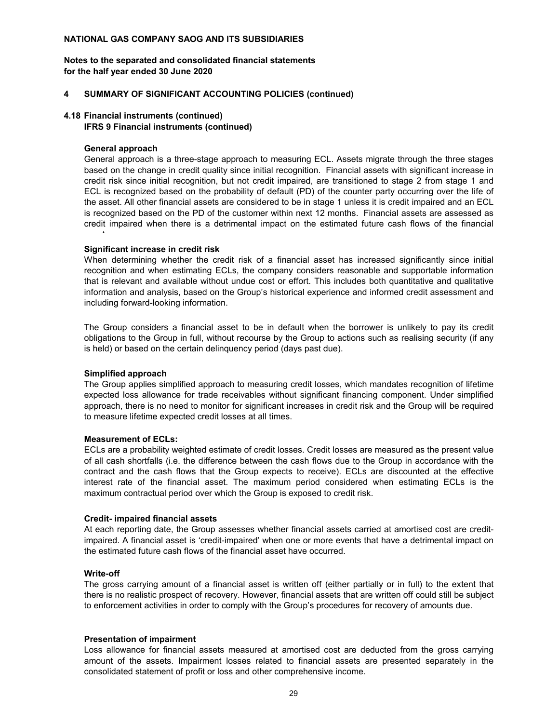**for the half year ended 30 June 2020 Notes to the separated and consolidated financial statements**

#### **4 SUMMARY OF SIGNIFICANT ACCOUNTING POLICIES (continued)**

## **4.18 Financial instruments (continued)**

### **IFRS 9 Financial instruments (continued)**

#### **General approach**

t

General approach is a three-stage approach to measuring ECL. Assets migrate through the three stages based on the change in credit quality since initial recognition. Financial assets with significant increase in credit risk since initial recognition, but not credit impaired, are transitioned to stage 2 from stage 1 and ECL is recognized based on the probability of default (PD) of the counter party occurring over the life of the asset. All other financial assets are considered to be in stage 1 unless it is credit impaired and an ECL is recognized based on the PD of the customer within next 12 months. Financial assets are assessed as credit impaired when there is a detrimental impact on the estimated future cash flows of the financial

#### **Significant increase in credit risk**

When determining whether the credit risk of a financial asset has increased significantly since initial recognition and when estimating ECLs, the company considers reasonable and supportable information that is relevant and available without undue cost or effort. This includes both quantitative and qualitative information and analysis, based on the Group's historical experience and informed credit assessment and including forward-looking information.

The Group considers a financial asset to be in default when the borrower is unlikely to pay its credit obligations to the Group in full, without recourse by the Group to actions such as realising security (if any is held) or based on the certain delinquency period (days past due).

#### **Simplified approach**

The Group applies simplified approach to measuring credit losses, which mandates recognition of lifetime expected loss allowance for trade receivables without significant financing component. Under simplified approach, there is no need to monitor for significant increases in credit risk and the Group will be required to measure lifetime expected credit losses at all times.

#### **Measurement of ECLs:**

ECLs are a probability weighted estimate of credit losses. Credit losses are measured as the present value of all cash shortfalls (i.e. the difference between the cash flows due to the Group in accordance with the contract and the cash flows that the Group expects to receive). ECLs are discounted at the effective interest rate of the financial asset. The maximum period considered when estimating ECLs is the maximum contractual period over which the Group is exposed to credit risk.

#### **Credit- impaired financial assets**

At each reporting date, the Group assesses whether financial assets carried at amortised cost are creditimpaired. A financial asset is 'credit-impaired' when one or more events that have a detrimental impact on the estimated future cash flows of the financial asset have occurred.

#### **Write-off**

The gross carrying amount of a financial asset is written off (either partially or in full) to the extent that there is no realistic prospect of recovery. However, financial assets that are written off could still be subject to enforcement activities in order to comply with the Group's procedures for recovery of amounts due.

#### **Presentation of impairment**

Loss allowance for financial assets measured at amortised cost are deducted from the gross carrying amount of the assets. Impairment losses related to financial assets are presented separately in the consolidated statement of profit or loss and other comprehensive income.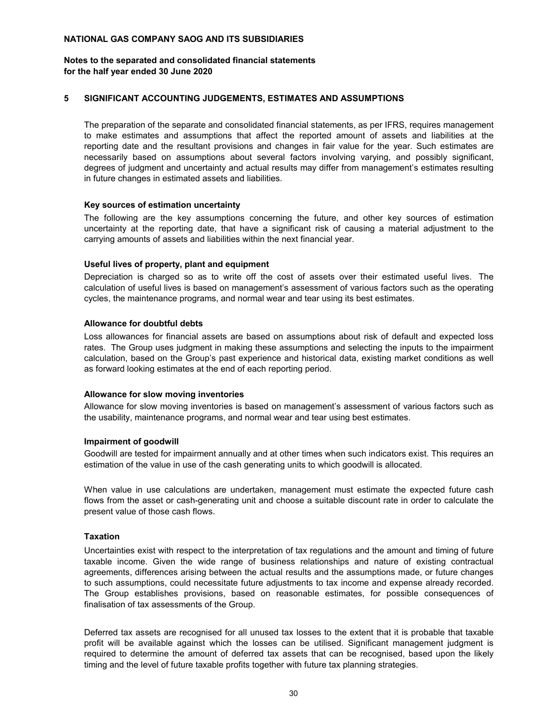#### **for the half year ended 30 June 2020 Notes to the separated and consolidated financial statements**

#### **5 SIGNIFICANT ACCOUNTING JUDGEMENTS, ESTIMATES AND ASSUMPTIONS**

The preparation of the separate and consolidated financial statements, as per IFRS, requires management to make estimates and assumptions that affect the reported amount of assets and liabilities at the reporting date and the resultant provisions and changes in fair value for the year. Such estimates are necessarily based on assumptions about several factors involving varying, and possibly significant, degrees of judgment and uncertainty and actual results may differ from management's estimates resulting in future changes in estimated assets and liabilities.

#### **Key sources of estimation uncertainty**

The following are the key assumptions concerning the future, and other key sources of estimation uncertainty at the reporting date, that have a significant risk of causing a material adjustment to the carrying amounts of assets and liabilities within the next financial year.

#### **Useful lives of property, plant and equipment**

Depreciation is charged so as to write off the cost of assets over their estimated useful lives. The calculation of useful lives is based on management's assessment of various factors such as the operating cycles, the maintenance programs, and normal wear and tear using its best estimates.

#### **Allowance for doubtful debts**

Loss allowances for financial assets are based on assumptions about risk of default and expected loss rates. The Group uses judgment in making these assumptions and selecting the inputs to the impairment calculation, based on the Group's past experience and historical data, existing market conditions as well as forward looking estimates at the end of each reporting period.

#### **Allowance for slow moving inventories**

Allowance for slow moving inventories is based on management's assessment of various factors such as the usability, maintenance programs, and normal wear and tear using best estimates.

#### **Impairment of goodwill**

Goodwill are tested for impairment annually and at other times when such indicators exist. This requires an estimation of the value in use of the cash generating units to which goodwill is allocated.

When value in use calculations are undertaken, management must estimate the expected future cash flows from the asset or cash-generating unit and choose a suitable discount rate in order to calculate the present value of those cash flows.

#### **Taxation**

Uncertainties exist with respect to the interpretation of tax regulations and the amount and timing of future taxable income. Given the wide range of business relationships and nature of existing contractual agreements, differences arising between the actual results and the assumptions made, or future changes to such assumptions, could necessitate future adjustments to tax income and expense already recorded. The Group establishes provisions, based on reasonable estimates, for possible consequences of finalisation of tax assessments of the Group.

Deferred tax assets are recognised for all unused tax losses to the extent that it is probable that taxable profit will be available against which the losses can be utilised. Significant management judgment is required to determine the amount of deferred tax assets that can be recognised, based upon the likely timing and the level of future taxable profits together with future tax planning strategies.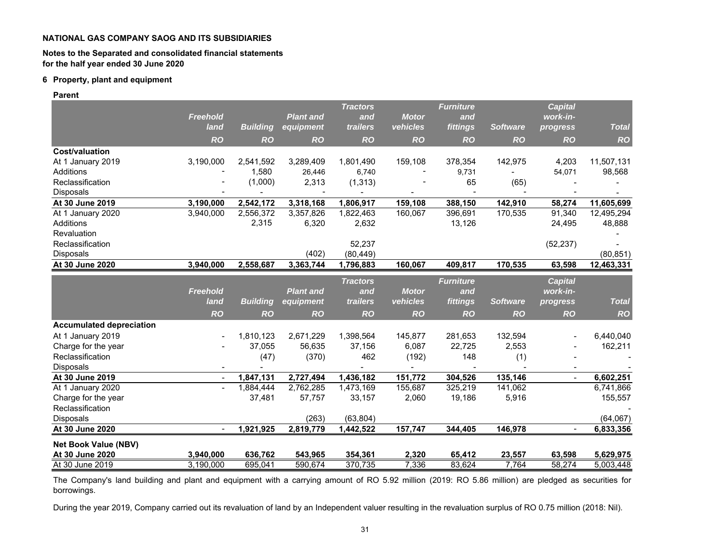#### **Notes to the Separated and consolidated financial statements for the half year ended 30 June 2020**

#### **6 Property, plant and equipment**

**Parent**

|                                 |                 |                 |                  | <b>Tractors</b> |              | Furniture        |                 | <b>Capital</b>           |              |
|---------------------------------|-----------------|-----------------|------------------|-----------------|--------------|------------------|-----------------|--------------------------|--------------|
|                                 | <b>Freehold</b> |                 | <b>Plant and</b> | and             | <b>Motor</b> | and              |                 | work-in-                 |              |
|                                 | land            | <b>Building</b> | equipment        | trailers        | vehicles     | fittings         | <b>Software</b> | progress                 | <b>Total</b> |
|                                 | <b>RO</b>       | <b>RO</b>       | <b>RO</b>        | <b>RO</b>       | <b>RO</b>    | <b>RO</b>        | <b>RO</b>       | <b>RO</b>                | <b>RO</b>    |
| <b>Cost/valuation</b>           |                 |                 |                  |                 |              |                  |                 |                          |              |
| At 1 January 2019               | 3,190,000       | 2,541,592       | 3,289,409        | 1,801,490       | 159,108      | 378,354          | 142,975         | 4,203                    | 11,507,131   |
| Additions                       |                 | 1,580           | 26,446           | 6,740           |              | 9,731            |                 | 54,071                   | 98,568       |
| Reclassification                |                 | (1,000)         | 2,313            | (1, 313)        |              | 65               | (65)            |                          |              |
| <b>Disposals</b>                |                 |                 |                  |                 |              |                  |                 |                          |              |
| At 30 June 2019                 | 3,190,000       | 2,542,172       | 3,318,168        | 1,806,917       | 159,108      | 388,150          | 142,910         | 58,274                   | 11,605,699   |
| At 1 January 2020               | 3,940,000       | 2,556,372       | 3,357,826        | 1,822,463       | 160,067      | 396,691          | 170,535         | 91,340                   | 12,495,294   |
| <b>Additions</b>                |                 | 2,315           | 6,320            | 2,632           |              | 13,126           |                 | 24,495                   | 48,888       |
| Revaluation                     |                 |                 |                  |                 |              |                  |                 |                          |              |
| Reclassification                |                 |                 |                  | 52,237          |              |                  |                 | (52, 237)                |              |
| <b>Disposals</b>                |                 |                 | (402)            | (80, 449)       |              |                  |                 |                          | (80, 851)    |
| At 30 June 2020                 | 3.940.000       | 2,558,687       | 3,363,744        | 1,796,883       | 160,067      | 409,817          | 170,535         | 63,598                   | 12,463,331   |
|                                 |                 |                 |                  | <b>Tractors</b> |              | <b>Furniture</b> |                 | <b>Capital</b>           |              |
|                                 | <b>Freehold</b> |                 | <b>Plant and</b> | and             | <b>Motor</b> | and              |                 | work-in-                 |              |
|                                 | land            | <b>Building</b> | equipment        | trailers        | vehicles     | fittings         | <b>Software</b> | progress                 | <b>Total</b> |
|                                 | <b>RO</b>       | <b>RO</b>       | <b>RO</b>        | <b>RO</b>       | <b>RO</b>    | <b>RO</b>        | <b>RO</b>       | <b>RO</b>                | <b>RO</b>    |
| <b>Accumulated depreciation</b> |                 |                 |                  |                 |              |                  |                 |                          |              |
| At 1 January 2019               |                 | 1,810,123       | 2,671,229        | 1,398,564       | 145,877      | 281,653          | 132,594         |                          | 6,440,040    |
| Charge for the year             |                 | 37,055          | 56,635           | 37,156          | 6,087        | 22,725           | 2,553           |                          | 162,211      |
| Reclassification                |                 | (47)            | (370)            | 462             | (192)        | 148              | (1)             |                          |              |
| Disposals                       |                 |                 |                  |                 |              |                  |                 |                          |              |
| At 30 June 2019                 | $\blacksquare$  | 1,847,131       | 2,727,494        | 1,436,182       | 151,772      | 304,526          | 135,146         | $\overline{\phantom{a}}$ | 6,602,251    |
| At 1 January 2020               | $\blacksquare$  | 1,884,444       | 2,762,285        | 1,473,169       | 155,687      | 325,219          | 141,062         |                          | 6,741,866    |
| Charge for the year             |                 | 37,481          | 57,757           | 33,157          | 2,060        | 19,186           | 5,916           |                          | 155,557      |
| Reclassification                |                 |                 |                  |                 |              |                  |                 |                          |              |
| <b>Disposals</b>                |                 |                 | (263)            | (63, 804)       |              |                  |                 |                          | (64,067)     |
| At 30 June 2020                 |                 | 1,921,925       | 2,819,779        | 1,442,522       | 157,747      | 344,405          | 146,978         |                          | 6,833,356    |
| <b>Net Book Value (NBV)</b>     |                 |                 |                  |                 |              |                  |                 |                          |              |
| At 30 June 2020                 | 3,940,000       | 636,762         | 543,965          | 354,361         | 2,320        | 65,412           | 23,557          | 63,598                   | 5,629,975    |
| At 30 June 2019                 | 3,190,000       | 695,041         | 590,674          | 370,735         | 7,336        | 83,624           | 7,764           | 58,274                   | 5,003,448    |

The Company's land building and plant and equipment with <sup>a</sup> carrying amount of RO 5.92 million (2019: RO 5.86 million) are pledged as securities for borrowings.

During the year 2019, Company carried out its revaluation of land by an Independent valuer resulting in the revaluation surplus of RO 0.75 million (2018: Nil).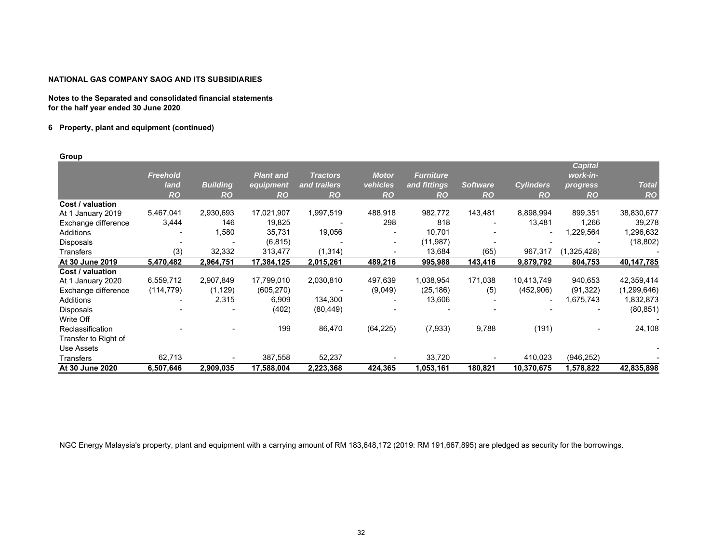**Notes to the Separated and consolidated financial statements for the half year ended 30 June 2020**

#### **6 Property, plant and equipment (continued)**

**Group**

|                      |                 |                 |                  |                 |              |                  |                 |                  | <b>Capital</b> |               |
|----------------------|-----------------|-----------------|------------------|-----------------|--------------|------------------|-----------------|------------------|----------------|---------------|
|                      | <b>Freehold</b> |                 | <b>Plant and</b> | <b>Tractors</b> | <b>Motor</b> | <b>Furniture</b> |                 |                  | work-in-       |               |
|                      | land            | <b>Building</b> | equipment        | and trailers    | vehicles     | and fittings     | <b>Software</b> | <b>Cylinders</b> | progress       | <b>Total</b>  |
|                      | <b>RO</b>       | <b>RO</b>       | <b>RO</b>        | <b>RO</b>       | <b>RO</b>    | <b>RO</b>        | <b>RO</b>       | <b>RO</b>        | <b>RO</b>      | <b>RO</b>     |
| Cost / valuation     |                 |                 |                  |                 |              |                  |                 |                  |                |               |
| At 1 January 2019    | 5,467,041       | 2,930,693       | 17,021,907       | 1,997,519       | 488,918      | 982,772          | 143,481         | 8,898,994        | 899,351        | 38,830,677    |
| Exchange difference  | 3,444           | 146             | 19,825           |                 | 298          | 818              |                 | 13,481           | 1,266          | 39,278        |
| Additions            |                 | 1,580           | 35,731           | 19,056          |              | 10,701           |                 |                  | 1,229,564      | 1,296,632     |
| <b>Disposals</b>     |                 |                 | (6, 815)         |                 |              | (11, 987)        |                 |                  |                | (18, 802)     |
| Transfers            | (3)             | 32,332          | 313,477          | (1, 314)        |              | 13,684           | (65)            | 967,317          | (1,325,428)    |               |
| At 30 June 2019      | 5,470,482       | 2,964,751       | 17,384,125       | 2,015,261       | 489,216      | 995,988          | 143,416         | 9,879,792        | 804,753        | 40,147,785    |
| Cost / valuation     |                 |                 |                  |                 |              |                  |                 |                  |                |               |
| At 1 January 2020    | 6,559,712       | 2,907,849       | 17,799,010       | 2,030,810       | 497,639      | 1,038,954        | 171,038         | 10,413,749       | 940,653        | 42,359,414    |
| Exchange difference  | (114, 779)      | (1, 129)        | (605, 270)       |                 | (9,049)      | (25, 186)        | (5)             | (452,906)        | (91, 322)      | (1, 299, 646) |
| Additions            |                 | 2,315           | 6,909            | 134,300         |              | 13,606           |                 | ٠                | 1,675,743      | 1,832,873     |
| Disposals            |                 |                 | (402)            | (80, 449)       |              |                  |                 |                  |                | (80, 851)     |
| Write Off            |                 |                 |                  |                 |              |                  |                 |                  |                |               |
| Reclassification     |                 |                 | 199              | 86,470          | (64, 225)    | (7,933)          | 9,788           | (191)            |                | 24,108        |
| Transfer to Right of |                 |                 |                  |                 |              |                  |                 |                  |                |               |
| Use Assets           |                 |                 |                  |                 |              |                  |                 |                  |                |               |
| Transfers            | 62,713          |                 | 387,558          | 52,237          |              | 33,720           |                 | 410,023          | (946, 252)     |               |
| At 30 June 2020      | 6,507,646       | 2,909,035       | 17,588,004       | 2,223,368       | 424,365      | 1,053,161        | 180,821         | 10,370,675       | 1,578,822      | 42,835,898    |

NGC Energy Malaysia's property, plant and equipment with a carrying amount of RM 183,648,172 (2019: RM 191,667,895) are pledged as security for the borrowings.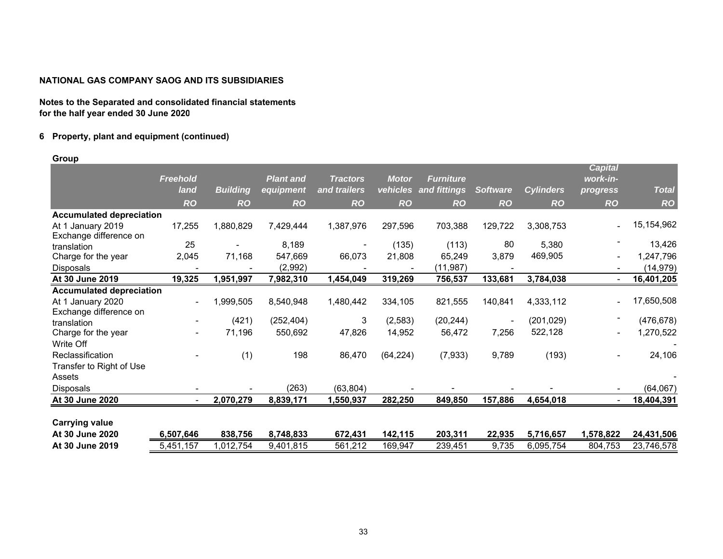**Notes to the Separated and consolidated financial statements for the half year ended 30 June 2020**

## **6 Property, plant and equipment (continued)**

#### **Group**

|                                 |                 |                 |                  |                 |              |                  |                 |                  | <b>Capital</b> |              |
|---------------------------------|-----------------|-----------------|------------------|-----------------|--------------|------------------|-----------------|------------------|----------------|--------------|
|                                 | <b>Freehold</b> |                 | <b>Plant and</b> | <b>Tractors</b> | <b>Motor</b> | <b>Furniture</b> |                 |                  | work-in-       |              |
|                                 | land            | <b>Building</b> | equipment        | and trailers    | vehicles     | and fittings     | <b>Software</b> | <b>Cylinders</b> | progress       | <b>Total</b> |
|                                 | <b>RO</b>       | <b>RO</b>       | <b>RO</b>        | <b>RO</b>       | <b>RO</b>    | <b>RO</b>        | <b>RO</b>       | <b>RO</b>        | <b>RO</b>      | <b>RO</b>    |
| <b>Accumulated depreciation</b> |                 |                 |                  |                 |              |                  |                 |                  |                |              |
| At 1 January 2019               | 17,255          | 1,880,829       | 7,429,444        | 1,387,976       | 297,596      | 703,388          | 129,722         | 3,308,753        |                | 15, 154, 962 |
| Exchange difference on          |                 |                 |                  |                 |              |                  |                 |                  |                |              |
| translation                     | 25              |                 | 8,189            |                 | (135)        | (113)            | 80              | 5,380            |                | 13,426       |
| Charge for the year             | 2,045           | 71,168          | 547,669          | 66,073          | 21,808       | 65,249           | 3,879           | 469,905          |                | 1,247,796    |
| Disposals                       |                 |                 | (2,992)          |                 |              | (11, 987)        |                 |                  |                | (14, 979)    |
| At 30 June 2019                 | 19,325          | 1,951,997       | 7,982,310        | 1,454,049       | 319,269      | 756,537          | 133,681         | 3,784,038        |                | 16,401,205   |
| <b>Accumulated depreciation</b> |                 |                 |                  |                 |              |                  |                 |                  |                |              |
| At 1 January 2020               | $\blacksquare$  | 1,999,505       | 8,540,948        | 1,480,442       | 334,105      | 821,555          | 140,841         | 4,333,112        |                | 17,650,508   |
| Exchange difference on          |                 |                 |                  |                 |              |                  |                 |                  |                |              |
| translation                     |                 | (421)           | (252, 404)       | 3               | (2,583)      | (20, 244)        | ۰               | (201, 029)       |                | (476, 678)   |
| Charge for the year             | ۰               | 71,196          | 550,692          | 47,826          | 14,952       | 56,472           | 7,256           | 522,128          | $\overline{a}$ | 1,270,522    |
| Write Off                       |                 |                 |                  |                 |              |                  |                 |                  |                |              |
| Reclassification                |                 | (1)             | 198              | 86,470          | (64, 224)    | (7,933)          | 9,789           | (193)            | $\blacksquare$ | 24,106       |
| Transfer to Right of Use        |                 |                 |                  |                 |              |                  |                 |                  |                |              |
| Assets                          |                 |                 |                  |                 |              |                  |                 |                  |                |              |
| Disposals                       |                 |                 | (263)            | (63, 804)       |              |                  |                 |                  |                | (64, 067)    |
| At 30 June 2020                 |                 | 2,070,279       | 8,839,171        | 1,550,937       | 282,250      | 849,850          | 157,886         | 4,654,018        |                | 18,404,391   |
|                                 |                 |                 |                  |                 |              |                  |                 |                  |                |              |
| <b>Carrying value</b>           |                 |                 |                  |                 |              |                  |                 |                  |                |              |
| At 30 June 2020                 | 6,507,646       | 838,756         | 8,748,833        | 672,431         | 142,115      | 203,311          | 22,935          | 5,716,657        | 1,578,822      | 24,431,506   |
| At 30 June 2019                 | 5,451,157       | 1,012,754       | 9,401,815        | 561,212         | 169,947      | 239,451          | 9,735           | 6,095,754        | 804,753        | 23,746,578   |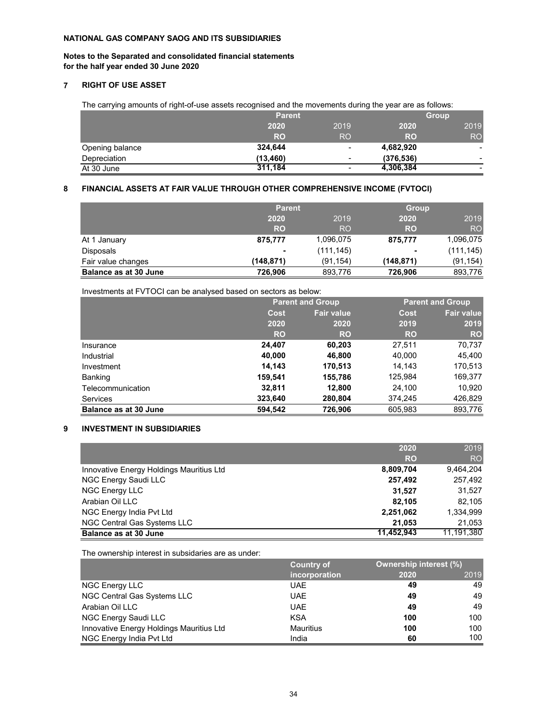## **Notes to the Separated and consolidated financial statements for the half year ended 30 June 2020**

## **7 RIGHT OF USE ASSET**

The carrying amounts of right-of-use assets recognised and the movements during the year are as follows:

|                 | <b>Parent</b> |           | <b>Group</b> |                          |  |
|-----------------|---------------|-----------|--------------|--------------------------|--|
|                 | 2020          | 2019      | 2020         | 2019                     |  |
|                 | <b>RO</b>     | <b>RO</b> | <b>RO</b>    | RO <sub>1</sub>          |  |
| Opening balance | 324,644       | -         | 4,682,920    | $\overline{\phantom{a}}$ |  |
| Depreciation    | (13, 460)     | -         | (376, 536)   | $\overline{\phantom{0}}$ |  |
| At 30 June      | 311,184       | -         | 4,306,384    |                          |  |

#### **8 FINANCIAL ASSETS AT FAIR VALUE THROUGH OTHER COMPREHENSIVE INCOME (FVTOCI)**

|                       | <b>Parent</b> |            | <b>Group</b> |                |
|-----------------------|---------------|------------|--------------|----------------|
|                       | 2020          | 2019       | 2020         | 2019           |
|                       | <b>RO</b>     | <b>RO</b>  | <b>RO</b>    | R <sub>O</sub> |
| At 1 January          | 875,777       | 1,096,075  | 875,777      | 1,096,075      |
| <b>Disposals</b>      |               | (111, 145) |              | (111, 145)     |
| Fair value changes    | (148, 871)    | (91, 154)  | (148,871)    | (91, 154)      |
| Balance as at 30 June | 726,906       | 893,776    | 726.906      | 893,776        |

Investments at FVTOCI can be analysed based on sectors as below:

|                              |           | <b>Parent and Group</b> |           | <b>Parent and Group</b> |  |
|------------------------------|-----------|-------------------------|-----------|-------------------------|--|
|                              | Cost      | <b>Fair value</b>       | Cost      | <b>Fair value</b>       |  |
|                              | 2020      | 2020                    | 2019      | 2019                    |  |
|                              | <b>RO</b> | RO                      | <b>RO</b> | <b>RO</b>               |  |
| Insurance                    | 24,407    | 60,203                  | 27,511    | 70,737                  |  |
| Industrial                   | 40,000    | 46,800                  | 40,000    | 45,400                  |  |
| Investment                   | 14,143    | 170,513                 | 14,143    | 170,513                 |  |
| Banking                      | 159,541   | 155,786                 | 125,984   | 169,377                 |  |
| Telecommunication            | 32,811    | 12,800                  | 24,100    | 10,920                  |  |
| <b>Services</b>              | 323,640   | 280,804                 | 374,245   | 426,829                 |  |
| <b>Balance as at 30 June</b> | 594.542   | 726,906                 | 605,983   | 893,776                 |  |

## **9 INVESTMENT IN SUBSIDIARIES**

|                                          | 2020       | 2019           |
|------------------------------------------|------------|----------------|
|                                          | <b>RO</b>  | R <sub>O</sub> |
| Innovative Energy Holdings Mauritius Ltd | 8,809,704  | 9.464.204      |
| NGC Energy Saudi LLC                     | 257,492    | 257,492        |
| NGC Energy LLC                           | 31,527     | 31.527         |
| Arabian Oil LLC                          | 82.105     | 82.105         |
| NGC Energy India Pyt Ltd                 | 2,251,062  | 1.334.999      |
| NGC Central Gas Systems LLC              | 21.053     | 21,053         |
| Balance as at 30 June                    | 11,452,943 | 11,191,380     |

The ownership interest in subsidaries are as under:

|                                          | <b>Country of</b> | <b>Ownership interest (%)</b> |      |
|------------------------------------------|-------------------|-------------------------------|------|
|                                          | incorporation     | 2020                          | 2019 |
| NGC Energy LLC                           | <b>UAE</b>        | 49                            | 49   |
| NGC Central Gas Systems LLC              | <b>UAE</b>        | 49                            | 49   |
| Arabian Oil LLC                          | <b>UAE</b>        | 49                            | 49   |
| NGC Energy Saudi LLC                     | <b>KSA</b>        | 100                           | 100  |
| Innovative Energy Holdings Mauritius Ltd | Mauritius         | 100                           | 100  |
| NGC Energy India Pvt Ltd                 | India             | 60                            | 100  |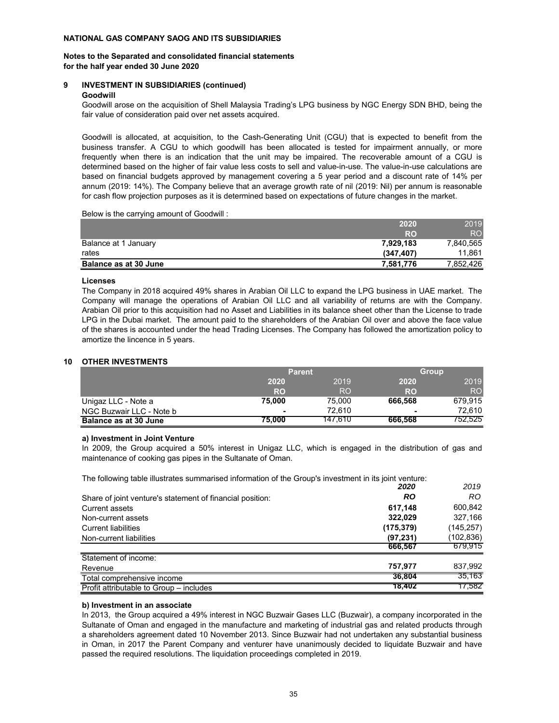#### **Notes to the Separated and consolidated financial statements for the half year ended 30 June 2020**

## **9 INVESTMENT IN SUBSIDIARIES (continued)**

## **Goodwill**

Goodwill arose on the acquisition of Shell Malaysia Trading's LPG business by NGC Energy SDN BHD, being the fair value of consideration paid over net assets acquired.

Goodwill is allocated, at acquisition, to the Cash-Generating Unit (CGU) that is expected to benefit from the business transfer. A CGU to which goodwill has been allocated is tested for impairment annually, or more frequently when there is an indication that the unit may be impaired. The recoverable amount of a CGU is determined based on the higher of fair value less costs to sell and value-in-use. The value-in-use calculations are based on financial budgets approved by management covering a 5 year period and a discount rate of 14% per annum (2019: 14%). The Company believe that an average growth rate of nil (2019: Nil) per annum is reasonable for cash flow projection purposes as it is determined based on expectations of future changes in the market.

Below is the carrying amount of Goodwill :

|                              | 2020      | 2019      |
|------------------------------|-----------|-----------|
|                              | <b>RO</b> | RO.       |
| Balance at 1 January         | 7,929,183 | 7,840,565 |
| rates                        | (347.407) | 11.861    |
| <b>Balance as at 30 June</b> | 7.581.776 | 7,852,426 |

## **Licenses**

The Company in 2018 acquired 49% shares in Arabian Oil LLC to expand the LPG business in UAE market. The Company will manage the operations of Arabian Oil LLC and all variability of returns are with the Company. Arabian Oil prior to this acquisition had no Asset and Liabilities in its balance sheet other than the License to trade LPG in the Dubai market. The amount paid to the shareholders of the Arabian Oil over and above the face value of the shares is accounted under the head Trading Licenses. The Company has followed the amortization policy to amortize the lincence in 5 years.

## **10 OTHER INVESTMENTS**

|                          | <b>Parent</b>  |                |           | <b>Group</b>    |  |
|--------------------------|----------------|----------------|-----------|-----------------|--|
|                          | 2020           | 2019           | 2020      | 2019            |  |
|                          | <b>RO</b>      | R <sub>O</sub> | <b>RO</b> | RO <sub>1</sub> |  |
| Unigaz LLC - Note a      | 75,000         | 75.000         | 666.568   | 679.915         |  |
| NGC Buzwair LLC - Note b | $\blacksquare$ | 72.610         |           | 72.610          |  |
| Balance as at 30 June    | 75.000         | 147.610        | 666,568   | 752,525         |  |

## **a) Investment in Joint Venture**

In 2009, the Group acquired a 50% interest in Unigaz LLC, which is engaged in the distribution of gas and maintenance of cooking gas pipes in the Sultanate of Oman.

The following table illustrates summarised information of the Group's investment in its joint venture:

|                                                           | 2020       | 2019       |
|-----------------------------------------------------------|------------|------------|
| Share of joint venture's statement of financial position: | <b>RO</b>  | RO         |
| Current assets                                            | 617,148    | 600,842    |
| Non-current assets                                        | 322.029    | 327,166    |
| <b>Current liabilities</b>                                | (175, 379) | (145, 257) |
| Non-current liabilities                                   | (97, 231)  | (102,836)  |
|                                                           | 666.567    | 679,915    |
| Statement of income:                                      |            |            |
| Revenue                                                   | 757,977    | 837,992    |
| Total comprehensive income                                | 36.804     | 35.163     |
| Profit attributable to Group – includes                   | 18.402     | 17,582     |

## **b) Investment in an associate**

In 2013, the Group acquired a 49% interest in NGC Buzwair Gases LLC (Buzwair), a company incorporated in the Sultanate of Oman and engaged in the manufacture and marketing of industrial gas and related products through a shareholders agreement dated 10 November 2013. Since Buzwair had not undertaken any substantial business in Oman, in 2017 the Parent Company and venturer have unanimously decided to liquidate Buzwair and have passed the required resolutions. The liquidation proceedings completed in 2019.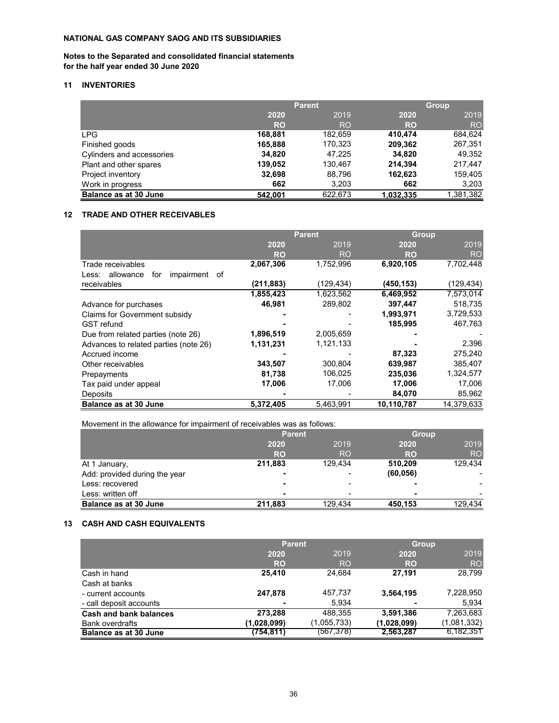## **Notes to the Separated and consolidated financial statements for the half year ended 30 June 2020**

## **11 INVENTORIES**

|                              | <b>Parent</b> |         |           | <b>Group</b> |  |
|------------------------------|---------------|---------|-----------|--------------|--|
|                              | 2020          | 2019    | 2020      | 2019         |  |
|                              | <b>RO</b>     | RO      | <b>RO</b> | <b>RO</b>    |  |
| <b>LPG</b>                   | 168,881       | 182,659 | 410,474   | 684,624      |  |
| Finished goods               | 165,888       | 170,323 | 209,362   | 267,351      |  |
| Cylinders and accessories    | 34,820        | 47,225  | 34,820    | 49,352       |  |
| Plant and other spares       | 139,052       | 130,467 | 214,394   | 217,447      |  |
| Project inventory            | 32,698        | 88,796  | 162,623   | 159,405      |  |
| Work in progress             | 662           | 3,203   | 662       | 3,203        |  |
| <b>Balance as at 30 June</b> | 542,001       | 622,673 | 1,032,335 | 1,381,382    |  |

## **12 TRADE AND OTHER RECEIVABLES**

|                                               | <b>Parent</b> |           | <b>Group</b> |            |
|-----------------------------------------------|---------------|-----------|--------------|------------|
|                                               | 2020          | 2019      | 2020         | 2019       |
|                                               | <b>RO</b>     | RO        | RO           | <b>RO</b>  |
| Trade receivables                             | 2,067,306     | 1,752,996 | 6,920,105    | 7,702,448  |
| allowance<br>impairment<br>for<br>of<br>Less: |               |           |              |            |
| receivables                                   | (211, 883)    | (129,434) | (450, 153)   | (129, 434) |
|                                               | 1,855,423     | 1,623,562 | 6,469,952    | 7,573,014  |
| Advance for purchases                         | 46,981        | 289,802   | 397,447      | 518,735    |
| Claims for Government subsidy                 |               |           | 1,993,971    | 3,729,533  |
| <b>GST</b> refund                             |               |           | 185,995      | 467,763    |
| Due from related parties (note 26)            | 1,896,519     | 2,005,659 |              |            |
| Advances to related parties (note 26)         | 1,131,231     | 1,121,133 |              | 2,396      |
| Accrued income                                |               |           | 87,323       | 275,240    |
| Other receivables                             | 343,507       | 300,804   | 639,987      | 385,407    |
| Prepayments                                   | 81,738        | 106,025   | 235,036      | 1,324,577  |
| Tax paid under appeal                         | 17,006        | 17,006    | 17,006       | 17,006     |
| <b>Deposits</b>                               |               |           | 84,070       | 85,962     |
| <b>Balance as at 30 June</b>                  | 5,372,405     | 5.463.991 | 10,110,787   | 14,379,633 |

Movement in the allowance for impairment of receivables was as follows:

|                               | <b>Parent</b> |           |           | <b>Group</b> |
|-------------------------------|---------------|-----------|-----------|--------------|
|                               | 2020          | 2019      | 2020      | 2019         |
|                               | <b>RO</b>     | <b>RO</b> | <b>RO</b> | <b>RO</b>    |
| At 1 January,                 | 211,883       | 129,434   | 510,209   | 129,434      |
| Add: provided during the year |               |           | (60, 056) |              |
| Less: recovered               |               |           |           |              |
| Less: written off             |               |           |           |              |
| <b>Balance as at 30 June</b>  | 211,883       | 129,434   | 450,153   | 129,434      |

## **13 CASH AND CASH EQUIVALENTS**

|                              | <b>Parent</b> |             | <b>Group</b> |             |
|------------------------------|---------------|-------------|--------------|-------------|
|                              | 2020          | 2019        | 2020         | 2019        |
|                              | <b>RO</b>     | <b>RO</b>   | <b>RO</b>    | <b>RO</b>   |
| Cash in hand                 | 25,410        | 24,684      | 27,191       | 28,799      |
| Cash at banks                |               |             |              |             |
| - current accounts           | 247,878       | 457,737     | 3,564,195    | 7,228,950   |
| - call deposit accounts      |               | 5.934       |              | 5.934       |
| Cash and bank balances       | 273,288       | 488,355     | 3,591,386    | 7,263,683   |
| <b>Bank overdrafts</b>       | (1,028,099)   | (1,055,733) | (1,028,099)  | (1,081,332) |
| <b>Balance as at 30 June</b> | (754,811)     | (567,378)   | 2,563,287    | 6,182,351   |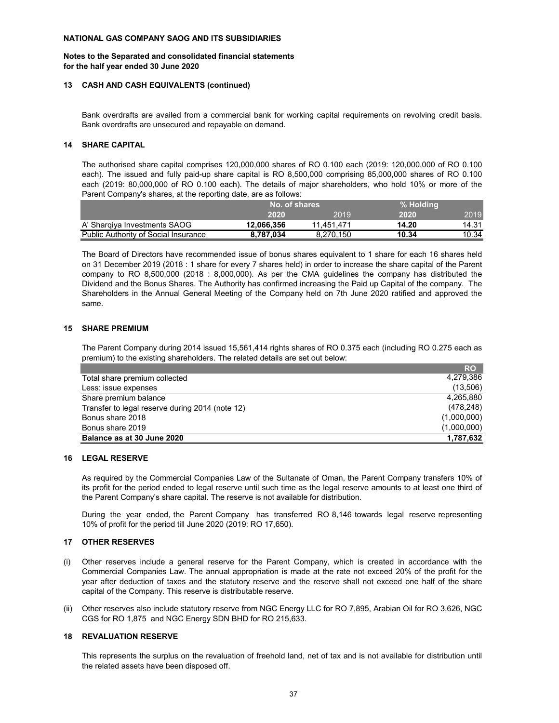#### **Notes to the Separated and consolidated financial statements for the half year ended 30 June 2020**

#### **13 CASH AND CASH EQUIVALENTS (continued)**

Bank overdrafts are availed from a commercial bank for working capital requirements on revolving credit basis. Bank overdrafts are unsecured and repayable on demand.

#### **14 SHARE CAPITAL**

The authorised share capital comprises 120,000,000 shares of RO 0.100 each (2019: 120,000,000 of RO 0.100 each). The issued and fully paid-up share capital is RO 8,500,000 comprising 85,000,000 shares of RO 0.100 each (2019: 80,000,000 of RO 0.100 each). The details of major shareholders, who hold 10% or more of the Parent Company's shares, at the reporting date, are as follows:

|                                             | No. of shares |            | % Holding |       |
|---------------------------------------------|---------------|------------|-----------|-------|
|                                             | 2020          | 2019       | 2020      | 2019  |
| A' Sharqiya Investments SAOG                | 12.066.356    | 11.451.471 | 14.20     | 14.31 |
| <b>Public Authority of Social Insurance</b> | 8.787.034     | 8.270.150  | 10.34     | 10.34 |

The Board of Directors have recommended issue of bonus shares equivalent to 1 share for each 16 shares held on 31 December 2019 (2018 : 1 share for every 7 shares held) in order to increase the share capital of the Parent company to RO 8,500,000 (2018 : 8,000,000). As per the CMA guidelines the company has distributed the Dividend and the Bonus Shares. The Authority has confirmed increasing the Paid up Capital of the company. The Shareholders in the Annual General Meeting of the Company held on 7th June 2020 ratified and approved the same.

#### **15 SHARE PREMIUM**

The Parent Company during 2014 issued 15,561,414 rights shares of RO 0.375 each (including RO 0.275 each as premium) to the existing shareholders. The related details are set out below:

|                                                 | <b>RO</b>   |
|-------------------------------------------------|-------------|
| Total share premium collected                   | 4,279,386   |
| Less: issue expenses                            | (13,506)    |
| Share premium balance                           | 4,265,880   |
| Transfer to legal reserve during 2014 (note 12) | (478, 248)  |
| Bonus share 2018                                | (1,000,000) |
| Bonus share 2019                                | (1,000,000) |
| Balance as at 30 June 2020                      | 1,787,632   |

#### **16 LEGAL RESERVE**

As required by the Commercial Companies Law of the Sultanate of Oman, the Parent Company transfers 10% of its profit for the period ended to legal reserve until such time as the legal reserve amounts to at least one third of the Parent Company's share capital. The reserve is not available for distribution.

During the year ended, the Parent Company has transferred RO 8,146 towards legal reserve representing 10% of profit for the period till June 2020 (2019: RO 17,650).

#### **17 OTHER RESERVES**

- (i) Other reserves include a general reserve for the Parent Company, which is created in accordance with the Commercial Companies Law. The annual appropriation is made at the rate not exceed 20% of the profit for the year after deduction of taxes and the statutory reserve and the reserve shall not exceed one half of the share capital of the Company. This reserve is distributable reserve.
- (ii) Other reserves also include statutory reserve from NGC Energy LLC for RO 7,895, Arabian Oil for RO 3,626, NGC CGS for RO 1,875 and NGC Energy SDN BHD for RO 215,633.

#### **18 REVALUATION RESERVE**

This represents the surplus on the revaluation of freehold land, net of tax and is not available for distribution until the related assets have been disposed off.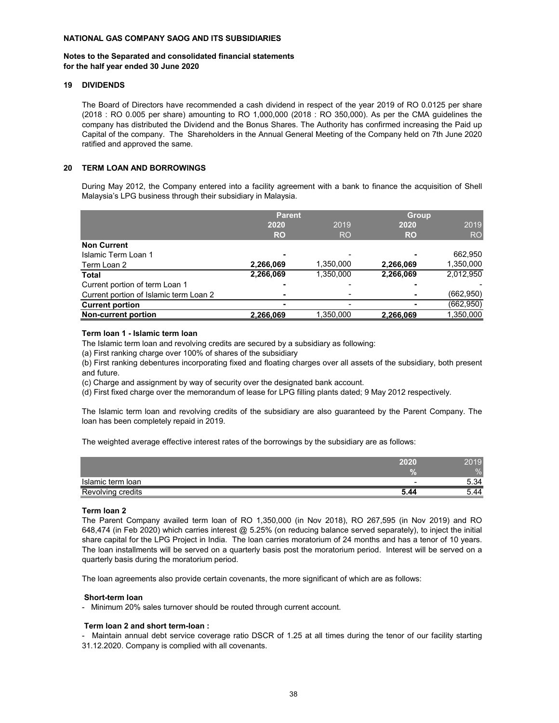#### **Notes to the Separated and consolidated financial statements for the half year ended 30 June 2020**

#### **19 DIVIDENDS**

The Board of Directors have recommended a cash dividend in respect of the year 2019 of RO 0.0125 per share (2018 : RO 0.005 per share) amounting to RO 1,000,000 (2018 : RO 350,000). As per the CMA guidelines the company has distributed the Dividend and the Bonus Shares. The Authority has confirmed increasing the Paid up Capital of the company. The Shareholders in the Annual General Meeting of the Company held on 7th June 2020 ratified and approved the same.

#### **20 TERM LOAN AND BORROWINGS**

During May 2012, the Company entered into a facility agreement with a bank to finance the acquisition of Shell Malaysia's LPG business through their subsidiary in Malaysia.

|                                        | <b>Parent</b> |           | <b>Group</b> |            |  |
|----------------------------------------|---------------|-----------|--------------|------------|--|
|                                        | 2020          | 2019      | 2020         | 2019       |  |
|                                        | <b>RO</b>     | <b>RO</b> | <b>RO</b>    | <b>RO</b>  |  |
| <b>Non Current</b>                     |               |           |              |            |  |
| Islamic Term Loan 1                    |               |           |              | 662,950    |  |
| Term Loan 2                            | 2,266,069     | 1,350,000 | 2,266,069    | 1,350,000  |  |
| Total                                  | 2,266,069     | 1,350,000 | 2,266,069    | 2,012,950  |  |
| Current portion of term Loan 1         |               |           |              |            |  |
| Current portion of Islamic term Loan 2 |               |           |              | (662, 950) |  |
| <b>Current portion</b>                 |               |           |              | (662, 950) |  |
| <b>Non-current portion</b>             | 2,266,069     | 1,350,000 | 2,266,069    | 1,350,000  |  |

#### **Term loan 1 - Islamic term loan**

The Islamic term loan and revolving credits are secured by a subsidiary as following:

(a) First ranking charge over 100% of shares of the subsidiary

(b) First ranking debentures incorporating fixed and floating charges over all assets of the subsidiary, both present and future.

(c) Charge and assignment by way of security over the designated bank account.

(d) First fixed charge over the memorandum of lease for LPG filling plants dated; 9 May 2012 respectively.

The Islamic term loan and revolving credits of the subsidiary are also guaranteed by the Parent Company. The loan has been completely repaid in 2019.

The weighted average effective interest rates of the borrowings by the subsidiary are as follows:

|                   | 2020 | 2019 |
|-------------------|------|------|
|                   |      | %    |
| Islamic term Ioan |      | 5.34 |
| Revolving credits | 5.44 | 44.ر |

#### **Term loan 2**

The Parent Company availed term loan of RO 1,350,000 (in Nov 2018), RO 267,595 (in Nov 2019) and RO 648,474 (in Feb 2020) which carries interest @ 5.25% (on reducing balance served separately), to inject the initial share capital for the LPG Project in India. The loan carries moratorium of 24 months and has a tenor of 10 years. The loan installments will be served on a quarterly basis post the moratorium period. Interest will be served on a quarterly basis during the moratorium period.

The loan agreements also provide certain covenants, the more significant of which are as follows:

#### **Short-term loan**

- Minimum 20% sales turnover should be routed through current account.

#### **Term loan 2 and short term-loan :**

- Maintain annual debt service coverage ratio DSCR of 1.25 at all times during the tenor of our facility starting 31.12.2020. Company is complied with all covenants.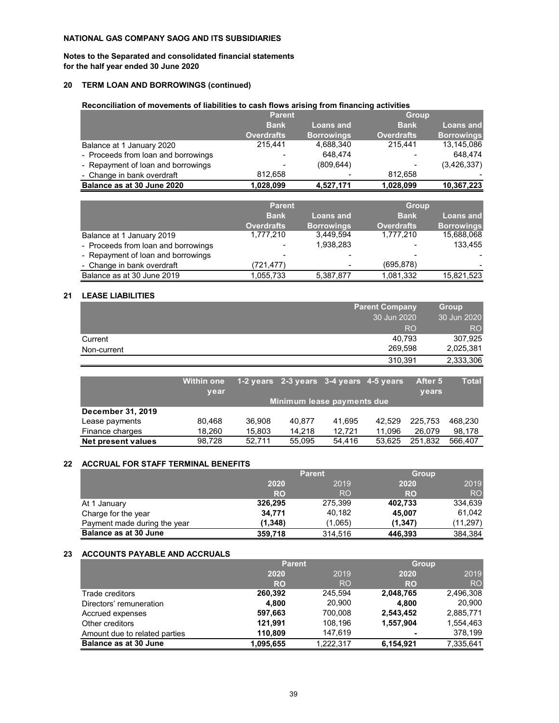**Notes to the Separated and consolidated financial statements for the half year ended 30 June 2020**

## **20 TERM LOAN AND BORROWINGS (continued)**

## **Reconciliation of movements of liabilities to cash flows arising from financing activities**

|                                     | <b>Parent</b>                   |                   | <b>Group</b>      |                   |
|-------------------------------------|---------------------------------|-------------------|-------------------|-------------------|
|                                     | <b>Bank</b><br><b>Loans and</b> |                   | <b>Bank</b>       | Loans and         |
|                                     | <b>Overdrafts</b>               | <b>Borrowings</b> | <b>Overdrafts</b> | <b>Borrowings</b> |
| Balance at 1 January 2020           | 215.441                         | 4,688,340         | 215.441           | 13,145,086        |
| - Proceeds from loan and borrowings |                                 | 648.474           |                   | 648.474           |
| - Repayment of loan and borrowings  |                                 | (809.644)         |                   | (3,426,337)       |
| - Change in bank overdraft          | 812.658                         |                   | 812.658           |                   |
| Balance as at 30 June 2020          | 1,028,099                       | 4,527,171         | 1,028,099         | 10,367,223        |

|                                     | <b>Parent</b>     |                   | <b>Group</b>      |                   |  |           |
|-------------------------------------|-------------------|-------------------|-------------------|-------------------|--|-----------|
|                                     | <b>Bank</b>       | <b>Loans and</b>  |                   | <b>Bank</b>       |  | Loans and |
|                                     | <b>Overdrafts</b> | <b>Borrowings</b> | <b>Overdrafts</b> | <b>Borrowings</b> |  |           |
| Balance at 1 January 2019           | 1,777,210         | 3,449,594         | 1,777,210         | 15,688,068        |  |           |
| - Proceeds from loan and borrowings |                   | 1,938,283         |                   | 133,455           |  |           |
| - Repayment of loan and borrowings  |                   | -                 |                   |                   |  |           |
| - Change in bank overdraft          | (721,477)         |                   | (695, 878)        |                   |  |           |
| Balance as at 30 June 2019          | 1,055,733         | 5,387,877         | 1,081,332         | 15,821,523        |  |           |

#### **21 LEASE LIABILITIES**

|             | <b>Parent Company</b> | <b>Group</b>    |
|-------------|-----------------------|-----------------|
|             | 30 Jun 2020           | 30 Jun 2020     |
|             | <b>RO</b>             | RO <sub>1</sub> |
| Current     | 40.793                | 307,925         |
| Non-current | 269.598               | 2,025,381       |
|             | 310,391               | 2,333,306       |

|                    | <b>Within one</b><br>year |        | 1-2 years 2-3 years 3-4 years 4-5 years |        |        | After 5<br><b>vears</b> | <b>Total</b> |
|--------------------|---------------------------|--------|-----------------------------------------|--------|--------|-------------------------|--------------|
|                    |                           |        | Minimum lease payments due              |        |        |                         |              |
| December 31, 2019  |                           |        |                                         |        |        |                         |              |
| Lease payments     | 80.468                    | 36.908 | 40.877                                  | 41.695 | 42.529 | 225.753                 | 468.230      |
| Finance charges    | 18.260                    | 15.803 | 14.218                                  | 12.721 | 11,096 | 26.079                  | 98,178       |
| Net present values | 98.728                    | 52.711 | 55.095                                  | 54.416 | 53.625 | 251.832                 | 566.407      |

#### **22 ACCRUAL FOR STAFF TERMINAL BENEFITS**

|                              | <b>Parent</b> |           |           | <b>Group</b>    |
|------------------------------|---------------|-----------|-----------|-----------------|
|                              | 2020          | 2019      | 2020      | 2019            |
|                              | <b>RO</b>     | <b>RO</b> | <b>RO</b> | RO <sub>1</sub> |
| At 1 January                 | 326,295       | 275,399   | 402,733   | 334,639         |
| Charge for the year          | 34.771        | 40.182    | 45,007    | 61.042          |
| Payment made during the year | (1,348)       | (1,065)   | (1.347)   | (11,297)        |
| <b>Balance as at 30 June</b> | 359,718       | 314.516   | 446,393   | 384,384         |

## **23 ACCOUNTS PAYABLE AND ACCRUALS**

|                               | <b>Parent</b> |           | <b>Group</b> |           |
|-------------------------------|---------------|-----------|--------------|-----------|
|                               | 2020          | 2019      |              | 2019      |
|                               | <b>RO</b>     | <b>RO</b> | <b>RO</b>    | <b>RO</b> |
| Trade creditors               | 260,392       | 245.594   | 2,048,765    | 2,496,308 |
| Directors' remuneration       | 4,800         | 20,900    | 4.800        | 20,900    |
| Accrued expenses              | 597,663       | 700.008   | 2,543,452    | 2,885,771 |
| Other creditors               | 121.991       | 108.196   | 1,557,904    | 1.554.463 |
| Amount due to related parties | 110,809       | 147.619   |              | 378.199   |
| <b>Balance as at 30 June</b>  | 1.095.655     | 1.222.317 | 6.154.921    | 7,335,641 |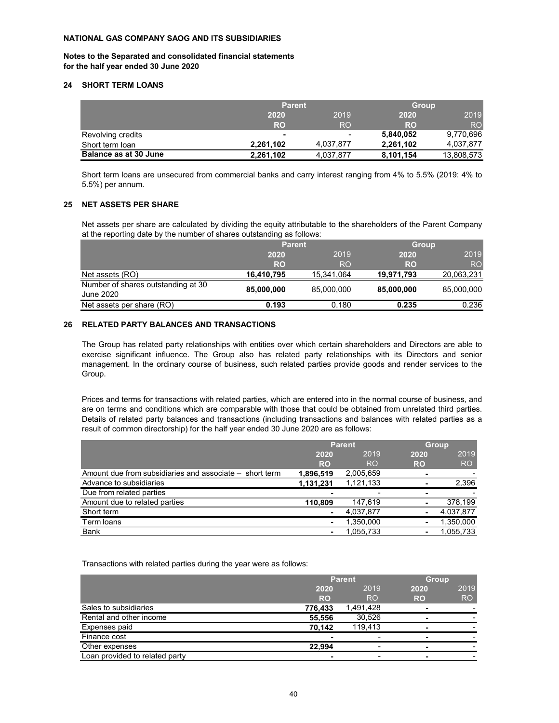**Notes to the Separated and consolidated financial statements for the half year ended 30 June 2020**

#### **24 SHORT TERM LOANS**

|                              | <b>Parent</b>  |           |           | <b>Group</b>   |
|------------------------------|----------------|-----------|-----------|----------------|
|                              | 2020           | 2019      | 2020      | 2019           |
|                              | <b>RO</b>      | RO        | <b>RO</b> | R <sub>O</sub> |
| Revolving credits            | $\blacksquare$ | -         | 5,840,052 | 9,770,696      |
| Short term loan              | 2,261,102      | 4,037,877 | 2,261,102 | 4,037,877      |
| <b>Balance as at 30 June</b> | 2.261.102      | 4,037,877 | 8,101,154 | 13,808,573     |

Short term loans are unsecured from commercial banks and carry interest ranging from 4% to 5.5% (2019: 4% to 5.5%) per annum.

#### **25 NET ASSETS PER SHARE**

Net assets per share are calculated by dividing the equity attributable to the shareholders of the Parent Company at the reporting date by the number of shares outstanding as follows:

|                                    | <b>Parent</b> |            |            | <b>Group</b> |      |
|------------------------------------|---------------|------------|------------|--------------|------|
|                                    | 2020<br>2019  |            |            | 2020         | 2019 |
|                                    | <b>RO</b>     | <b>RO</b>  | <b>RO</b>  | <b>RO</b>    |      |
| Net assets (RO)                    | 16,410,795    | 15,341,064 | 19,971,793 | 20,063,231   |      |
| Number of shares outstanding at 30 | 85,000,000    | 85,000,000 | 85,000,000 | 85,000,000   |      |
| June 2020                          |               |            |            |              |      |
| Net assets per share (RO)          | 0.193         | 0.180      | 0.235      | 0.236        |      |

#### **26 RELATED PARTY BALANCES AND TRANSACTIONS**

The Group has related party relationships with entities over which certain shareholders and Directors are able to exercise significant influence. The Group also has related party relationships with its Directors and senior management. In the ordinary course of business, such related parties provide goods and render services to the Group.

Prices and terms for transactions with related parties, which are entered into in the normal course of business, and are on terms and conditions which are comparable with those that could be obtained from unrelated third parties. Details of related party balances and transactions (including transactions and balances with related parties as a result of common directorship) for the half year ended 30 June 2020 are as follows:

|                                                         | <b>Parent</b>  |           |                | <b>Group</b>   |  |
|---------------------------------------------------------|----------------|-----------|----------------|----------------|--|
|                                                         | 2019<br>2020   |           | 2020           | 2019           |  |
|                                                         | <b>RO</b>      | <b>RO</b> | <b>RO</b>      | R <sub>O</sub> |  |
| Amount due from subsidiaries and associate – short term | 1,896,519      | 2,005,659 |                |                |  |
| Advance to subsidiaries                                 | 1,131,231      | 1,121,133 |                | 2,396          |  |
| Due from related parties                                |                | ٠         |                |                |  |
| Amount due to related parties                           | 110,809        | 147.619   | $\blacksquare$ | 378,199        |  |
| Short term                                              | ۰              | 4,037,877 |                | 4,037,877      |  |
| Term loans                                              | $\blacksquare$ | 1,350,000 |                | 1,350,000      |  |
| <b>Bank</b>                                             | ۰              | 1,055,733 |                | 1,055,733      |  |

Transactions with related parties during the year were as follows:

|                                | <b>Parent</b> |           | <b>Group</b> |           |
|--------------------------------|---------------|-----------|--------------|-----------|
|                                | 2020          | 2019      | 2019<br>2020 |           |
|                                | <b>RO</b>     | <b>RO</b> | <b>RO</b>    | <b>RO</b> |
| Sales to subsidiaries          | 776,433       | 1,491,428 |              |           |
| Rental and other income        | 55,556        | 30,526    |              |           |
| Expenses paid                  | 70.142        | 119.413   |              |           |
| Finance cost                   |               |           |              |           |
| Other expenses                 | 22.994        | -         |              |           |
| Loan provided to related party |               |           |              |           |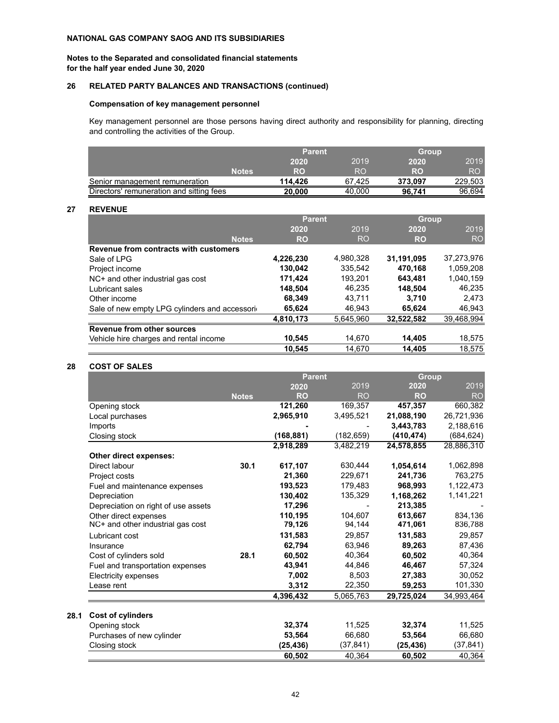**Notes to the Separated and consolidated financial statements for the half year ended June 30, 2020**

## **26 RELATED PARTY BALANCES AND TRANSACTIONS (continued)**

#### **Compensation of key management personnel**

Key management personnel are those persons having direct authority and responsibility for planning, directing and controlling the activities of the Group.

|                                          | <b>Parent</b> |        | <b>Group</b> |         |
|------------------------------------------|---------------|--------|--------------|---------|
|                                          | 2020          | 2019   | 2020         | 2019    |
| <b>Notes</b>                             | RO            | RO     | RO           | RO      |
| Senior management remuneration           | 114.426       | 67.425 | 373.097      | 229,503 |
| Directors' remuneration and sitting fees | 20,000        | 40.000 | 96.741       | 96.694  |

#### **27 REVENUE**

|                                               | <b>Parent</b> |           | <b>Group</b> |            |
|-----------------------------------------------|---------------|-----------|--------------|------------|
|                                               | 2020          | 2019      | 2020         | 2019       |
| <b>Notes</b>                                  | RO            | <b>RO</b> | <b>RO</b>    | <b>RO</b>  |
| Revenue from contracts with customers         |               |           |              |            |
| Sale of LPG                                   | 4,226,230     | 4,980,328 | 31,191,095   | 37,273,976 |
| Project income                                | 130,042       | 335.542   | 470,168      | 1,059,208  |
| $NC+$ and other industrial gas cost           | 171,424       | 193,201   | 643.481      | 1,040,159  |
| Lubricant sales                               | 148,504       | 46.235    | 148.504      | 46.235     |
| Other income                                  | 68,349        | 43.711    | 3,710        | 2,473      |
| Sale of new empty LPG cylinders and accessori | 65,624        | 46.943    | 65,624       | 46,943     |
|                                               | 4,810,173     | 5.645.960 | 32,522,582   | 39,468,994 |
| Revenue from other sources                    |               |           |              |            |
| Vehicle hire charges and rental income        | 10,545        | 14,670    | 14,405       | 18,575     |
|                                               | 10.545        | 14.670    | 14.405       | 18.575     |

#### **28 COST OF SALES**

|                                     |              | <b>Parent</b> |           | Group      |            |
|-------------------------------------|--------------|---------------|-----------|------------|------------|
|                                     |              | 2020          | 2019      | 2020       | 2019       |
|                                     | <b>Notes</b> | <b>RO</b>     | <b>RO</b> | <b>RO</b>  | <b>RO</b>  |
| Opening stock                       |              | 121,260       | 169,357   | 457,357    | 660,382    |
| Local purchases                     |              | 2,965,910     | 3,495,521 | 21,088,190 | 26,721,936 |
| Imports                             |              |               |           | 3,443,783  | 2,188,616  |
| Closing stock                       |              | (168, 881)    | (182,659) | (410, 474) | (684, 624) |
|                                     |              | 2,918,289     | 3,482,219 | 24,578,855 | 28,886,310 |
| Other direct expenses:              |              |               |           |            |            |
| Direct labour                       | 30.1         | 617,107       | 630,444   | 1,054,614  | 1,062,898  |
| Project costs                       |              | 21,360        | 229,671   | 241,736    | 763,275    |
| Fuel and maintenance expenses       |              | 193,523       | 179,483   | 968,993    | 1,122,473  |
| Depreciation                        |              | 130,402       | 135,329   | 1,168,262  | 1,141,221  |
| Depreciation on right of use assets |              | 17,296        |           | 213,385    |            |
| Other direct expenses               |              | 110,195       | 104.607   | 613.667    | 834,136    |
| NC+ and other industrial gas cost   |              | 79,126        | 94,144    | 471,061    | 836,788    |
| Lubricant cost                      |              | 131,583       | 29,857    | 131,583    | 29,857     |
| Insurance                           |              | 62.794        | 63.946    | 89,263     | 87,436     |
| Cost of cylinders sold              | 28.1         | 60,502        | 40,364    | 60,502     | 40,364     |
| Fuel and transportation expenses    |              | 43,941        | 44,846    | 46,467     | 57,324     |
| Electricity expenses                |              | 7,002         | 8.503     | 27,383     | 30,052     |
| ease rent                           |              | 3,312         | 22,350    | 59,253     | 101,330    |
|                                     |              | 4,396,432     | 5,065,763 | 29,725,024 | 34,993,464 |
|                                     |              |               |           |            |            |
| Cost of cylinders                   |              |               |           |            |            |
| Opening stock                       |              | 32,374        | 11,525    | 32,374     | 11,525     |
| Purchases of new cylinder           |              | 53,564        | 66,680    | 53,564     | 66,680     |
| Closing stock                       |              | (25, 436)     | (37, 841) | (25, 436)  | (37, 841)  |
|                                     |              | 60,502        | 40,364    | 60,502     | 40,364     |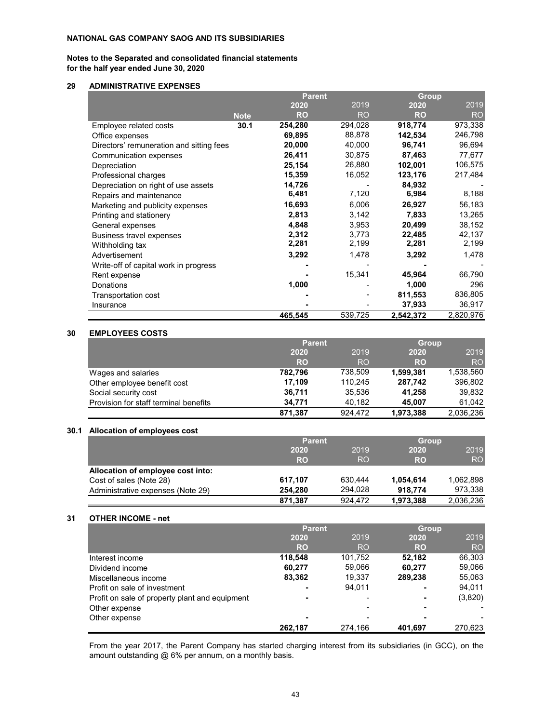#### **Notes to the Separated and consolidated financial statements for the half year ended June 30, 2020**

#### **29 ADMINISTRATIVE EXPENSES**

|                                          |             | <b>Parent</b> |           |           | <b>Group</b> |  |
|------------------------------------------|-------------|---------------|-----------|-----------|--------------|--|
|                                          |             | 2020          | 2019      | 2020      | 2019         |  |
|                                          | <b>Note</b> | <b>RO</b>     | <b>RO</b> | <b>RO</b> | <b>RO</b>    |  |
| Employee related costs                   | 30.1        | 254,280       | 294,028   | 918,774   | 973,338      |  |
| Office expenses                          |             | 69,895        | 88,878    | 142,534   | 246,798      |  |
| Directors' remuneration and sitting fees |             | 20,000        | 40,000    | 96,741    | 96,694       |  |
| Communication expenses                   |             | 26,411        | 30,875    | 87,463    | 77,677       |  |
| Depreciation                             |             | 25,154        | 26,880    | 102,001   | 106,575      |  |
| Professional charges                     |             | 15,359        | 16,052    | 123,176   | 217,484      |  |
| Depreciation on right of use assets      |             | 14,726        |           | 84,932    |              |  |
| Repairs and maintenance                  |             | 6,481         | 7,120     | 6,984     | 8,188        |  |
| Marketing and publicity expenses         |             | 16,693        | 6,006     | 26,927    | 56,183       |  |
| Printing and stationery                  |             | 2,813         | 3,142     | 7,833     | 13,265       |  |
| General expenses                         |             | 4,848         | 3,953     | 20,499    | 38,152       |  |
| Business travel expenses                 |             | 2,312         | 3,773     | 22,485    | 42,137       |  |
| Withholding tax                          |             | 2,281         | 2,199     | 2,281     | 2,199        |  |
| Advertisement                            |             | 3,292         | 1,478     | 3,292     | 1,478        |  |
| Write-off of capital work in progress    |             |               |           |           |              |  |
| Rent expense                             |             |               | 15,341    | 45,964    | 66,790       |  |
| Donations                                |             | 1,000         |           | 1,000     | 296          |  |
| Transportation cost                      |             |               |           | 811,553   | 836,805      |  |
| Insurance                                |             |               |           | 37,933    | 36,917       |  |
|                                          |             | 465,545       | 539,725   | 2,542,372 | 2,820,976    |  |

#### **30 EMPLOYEES COSTS**

|                                       | <b>Parent</b> |                | <b>Group</b> |           |
|---------------------------------------|---------------|----------------|--------------|-----------|
|                                       | 2020          | 2019           | 2020         | 2019      |
|                                       | <b>RO</b>     | R <sub>O</sub> | <b>RO</b>    | <b>RO</b> |
| Wages and salaries                    | 782,796       | 738,509        | 1,599,381    | 1,538,560 |
| Other employee benefit cost           | 17.109        | 110,245        | 287,742      | 396,802   |
| Social security cost                  | 36.711        | 35.536         | 41.258       | 39.832    |
| Provision for staff terminal benefits | 34.771        | 40,182         | 45.007       | 61.042    |
|                                       | 871,387       | 924.472        | 1,973,388    | 2.036.236 |

#### **30.1 Allocation of employees cost**

|                                   | <b>Parent</b> |           | <b>Group</b> |           |
|-----------------------------------|---------------|-----------|--------------|-----------|
|                                   | 2020          | 2019      | 2020         | 2019      |
|                                   | <b>RO</b>     | <b>RO</b> | <b>RO</b>    | <b>RO</b> |
| Allocation of employee cost into: |               |           |              |           |
| Cost of sales (Note 28)           | 617.107       | 630.444   | 1,054,614    | 1,062,898 |
| Administrative expenses (Note 29) | 254.280       | 294.028   | 918.774      | 973,338   |
|                                   | 871.387       | 924.472   | 1,973,388    | 2.036.236 |

#### **31 OTHER INCOME - net**

|                                                | <b>Parent</b>            |         | <b>Group</b>   |           |
|------------------------------------------------|--------------------------|---------|----------------|-----------|
|                                                | 2020                     | 2019    | 2020           | 2019      |
|                                                | <b>RO</b>                | RO      | <b>RO</b>      | <b>RO</b> |
| Interest income                                | 118.548                  | 101,752 | 52.182         | 66,303    |
| Dividend income                                | 60.277                   | 59.066  | 60.277         | 59,066    |
| Miscellaneous income                           | 83,362                   | 19,337  | 289.238        | 55,063    |
| Profit on sale of investment                   | $\overline{\phantom{0}}$ | 94.011  | $\blacksquare$ | 94,011    |
| Profit on sale of property plant and equipment | $\blacksquare$           | -       | $\blacksquare$ | (3,820)   |
| Other expense                                  |                          |         |                |           |
| Other expense                                  | $\blacksquare$           |         |                |           |
|                                                | 262.187                  | 274.166 | 401.697        | 270.623   |

From the year 2017, the Parent Company has started charging interest from its subsidiaries (in GCC), on the amount outstanding @ 6% per annum, on a monthly basis.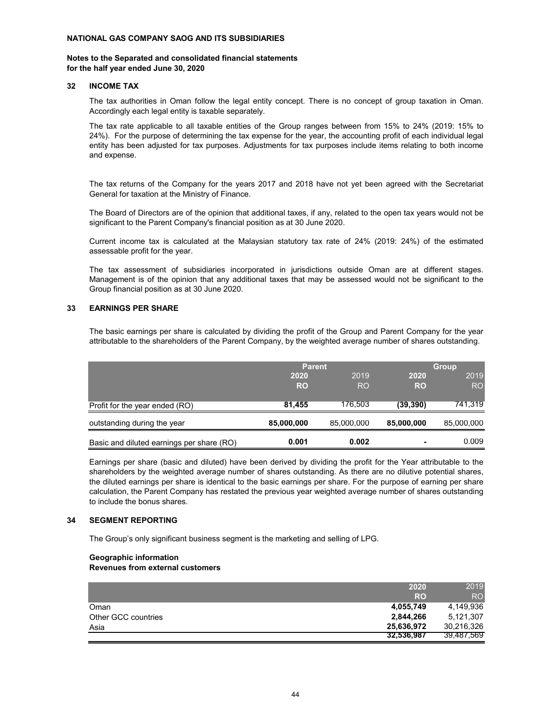#### **Notes to the Separated and consolidated financial statements for the half year ended June 30, 2020**

#### **32 INCOME TAX**

The tax authorities in Oman follow the legal entity concept. There is no concept of group taxation in Oman. Accordingly each legal entity is taxable separately.

The tax rate applicable to all taxable entities of the Group ranges between from 15% to 24% (2019: 15% to 24%). For the purpose of determining the tax expense for the year, the accounting profit of each individual legal entity has been adjusted for tax purposes. Adjustments for tax purposes include items relating to both income and expense.

The tax returns of the Company for the years 2017 and 2018 have not yet been agreed with the Secretariat General for taxation at the Ministry of Finance.

The Board of Directors are of the opinion that additional taxes, if any, related to the open tax years would not be significant to the Parent Company's financial position as at 30 June 2020.

Current income tax is calculated at the Malaysian statutory tax rate of 24% (2019: 24%) of the estimated assessable profit for the year.

The tax assessment of subsidiaries incorporated in jurisdictions outside Oman are at different stages. Management is of the opinion that any additional taxes that may be assessed would not be significant to the Group financial position as at 30 June 2020.

#### **33 EARNINGS PER SHARE**

The basic earnings per share is calculated by dividing the profit of the Group and Parent Company for the year attributable to the shareholders of the Parent Company, by the weighted average number of shares outstanding.

|                                           | <b>Parent</b> |            |            | <b>Group</b> |  |
|-------------------------------------------|---------------|------------|------------|--------------|--|
|                                           | 2020          | 2019       | 2020       | 2019         |  |
|                                           | <b>RO</b>     | <b>RO</b>  | <b>RO</b>  | <b>RO</b>    |  |
|                                           |               |            |            |              |  |
| Profit for the year ended (RO)            | 81,455        | 176,503    | (39, 390)  | 741,319      |  |
| outstanding during the year               | 85,000,000    | 85,000,000 | 85,000,000 | 85,000,000   |  |
| Basic and diluted earnings per share (RO) | 0.001         | 0.002      | ۰          | 0.009        |  |

Earnings per share (basic and diluted) have been derived by dividing the profit for the Year attributable to the shareholders by the weighted average number of shares outstanding. As there are no dilutive potential shares, the diluted earnings per share is identical to the basic earnings per share. For the purpose of earning per share calculation, the Parent Company has restated the previous year weighted average number of shares outstanding to include the bonus shares.

#### **34 SEGMENT REPORTING**

The Group's only significant business segment is the marketing and selling of LPG.

#### **Geographic information Revenues from external customers**

|                     | 2020       | 2019            |
|---------------------|------------|-----------------|
|                     | <b>RO</b>  | RO <sub>1</sub> |
| Oman                | 4,055,749  | 4,149,936       |
| Other GCC countries | 2,844,266  | 5.121.307       |
| Asia                | 25,636,972 | 30,216,326      |
|                     | 32,536,987 | 39,487,569      |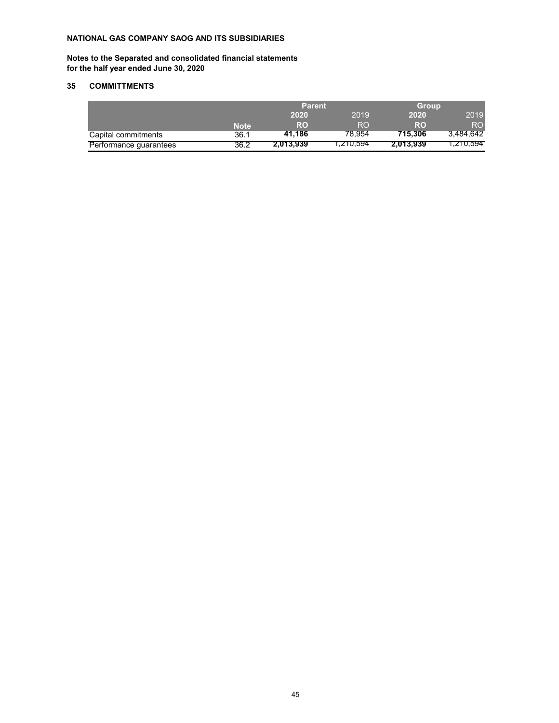**Notes to the Separated and consolidated financial statements for the half year ended June 30, 2020**

## **35 COMMITTMENTS**

|                        |             | <b>Parent</b> |           | <b>Group</b> |           |
|------------------------|-------------|---------------|-----------|--------------|-----------|
|                        |             | 2020          | 2019      | 2020         | 2019      |
|                        | <b>Note</b> | RO            | RO.       | RO           | RO.       |
| Capital commitments    | 36.1        | 41.186        | 78.954    | 715.306      | 3,484,642 |
| Performance guarantees | 36.2        | 2,013,939     | 1.210.594 | 2.013.939    | 1.210.594 |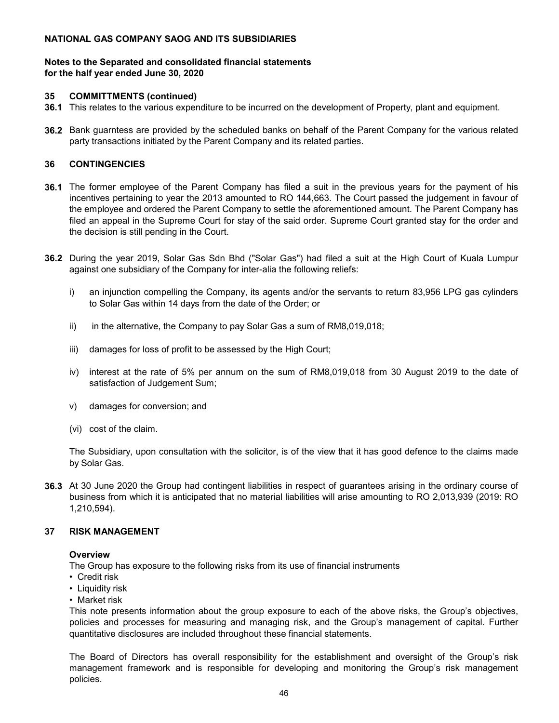## **Notes to the Separated and consolidated financial statements for the half year ended June 30, 2020**

## **35 COMMITTMENTS (continued)**

- **36.1** This relates to the various expenditure to be incurred on the development of Property, plant and equipment.
- **36.2** Bank guarntess are provided by the scheduled banks on behalf of the Parent Company for the various related party transactions initiated by the Parent Company and its related parties.

## **36 CONTINGENCIES**

- **36.1** The former employee of the Parent Company has filed a suit in the previous years for the payment of his incentives pertaining to year the 2013 amounted to RO 144,663. The Court passed the judgement in favour of the employee and ordered the Parent Company to settle the aforementioned amount. The Parent Company has filed an appeal in the Supreme Court for stay of the said order. Supreme Court granted stay for the order and the decision is still pending in the Court.
- **36.2** During the year 2019, Solar Gas Sdn Bhd ("Solar Gas") had filed a suit at the High Court of Kuala Lumpur against one subsidiary of the Company for inter-alia the following reliefs:
	- i) an injunction compelling the Company, its agents and/or the servants to return 83,956 LPG gas cylinders to Solar Gas within 14 days from the date of the Order; or
	- ii) in the alternative, the Company to pay Solar Gas a sum of RM8,019,018;
	- iii) damages for loss of profit to be assessed by the High Court;
	- iv) interest at the rate of 5% per annum on the sum of RM8,019,018 from 30 August 2019 to the date of satisfaction of Judgement Sum;
	- v) damages for conversion; and
	- (vi) cost of the claim.

The Subsidiary, upon consultation with the solicitor, is of the view that it has good defence to the claims made by Solar Gas.

**36.3** At 30 June 2020 the Group had contingent liabilities in respect of guarantees arising in the ordinary course of business from which it is anticipated that no material liabilities will arise amounting to RO 2,013,939 (2019: RO 1,210,594).

## **37 RISK MANAGEMENT**

## **Overview**

The Group has exposure to the following risks from its use of financial instruments

- Credit risk
- Liquidity risk
- Market risk

This note presents information about the group exposure to each of the above risks, the Group's objectives, policies and processes for measuring and managing risk, and the Group's management of capital. Further quantitative disclosures are included throughout these financial statements.

The Board of Directors has overall responsibility for the establishment and oversight of the Group's risk management framework and is responsible for developing and monitoring the Group's risk management policies.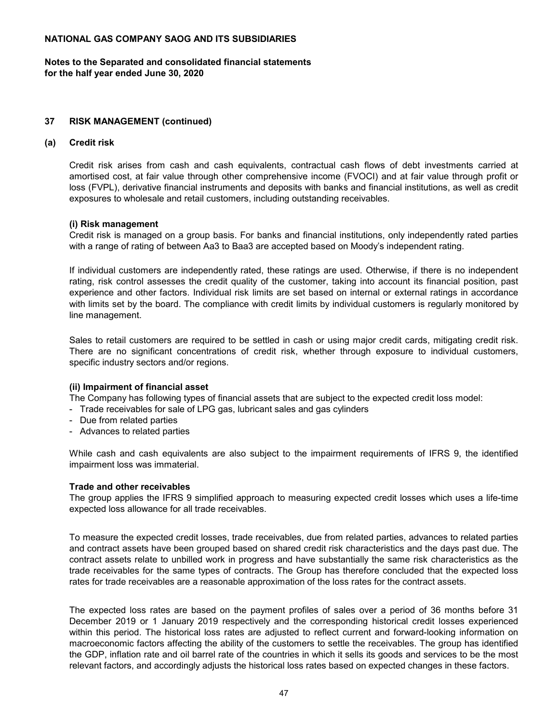**Notes to the Separated and consolidated financial statements for the half year ended June 30, 2020**

## **37 RISK MANAGEMENT (continued)**

## **(a) Credit risk**

Credit risk arises from cash and cash equivalents, contractual cash flows of debt investments carried at amortised cost, at fair value through other comprehensive income (FVOCI) and at fair value through profit or loss (FVPL), derivative financial instruments and deposits with banks and financial institutions, as well as credit exposures to wholesale and retail customers, including outstanding receivables.

## **(i) Risk management**

Credit risk is managed on a group basis. For banks and financial institutions, only independently rated parties with a range of rating of between Aa3 to Baa3 are accepted based on Moody's independent rating.

If individual customers are independently rated, these ratings are used. Otherwise, if there is no independent rating, risk control assesses the credit quality of the customer, taking into account its financial position, past experience and other factors. Individual risk limits are set based on internal or external ratings in accordance with limits set by the board. The compliance with credit limits by individual customers is regularly monitored by line management.

Sales to retail customers are required to be settled in cash or using major credit cards, mitigating credit risk. There are no significant concentrations of credit risk, whether through exposure to individual customers, specific industry sectors and/or regions.

## **(ii) Impairment of financial asset**

The Company has following types of financial assets that are subject to the expected credit loss model:

- Trade receivables for sale of LPG gas, lubricant sales and gas cylinders
- Due from related parties
- Advances to related parties

While cash and cash equivalents are also subject to the impairment requirements of IFRS 9, the identified impairment loss was immaterial.

## **Trade and other receivables**

The group applies the IFRS 9 simplified approach to measuring expected credit losses which uses a life-time expected loss allowance for all trade receivables.

To measure the expected credit losses, trade receivables, due from related parties, advances to related parties and contract assets have been grouped based on shared credit risk characteristics and the days past due. The contract assets relate to unbilled work in progress and have substantially the same risk characteristics as the trade receivables for the same types of contracts. The Group has therefore concluded that the expected loss rates for trade receivables are a reasonable approximation of the loss rates for the contract assets.

The expected loss rates are based on the payment profiles of sales over a period of 36 months before 31 December 2019 or 1 January 2019 respectively and the corresponding historical credit losses experienced within this period. The historical loss rates are adjusted to reflect current and forward-looking information on macroeconomic factors affecting the ability of the customers to settle the receivables. The group has identified the GDP, inflation rate and oil barrel rate of the countries in which it sells its goods and services to be the most relevant factors, and accordingly adjusts the historical loss rates based on expected changes in these factors.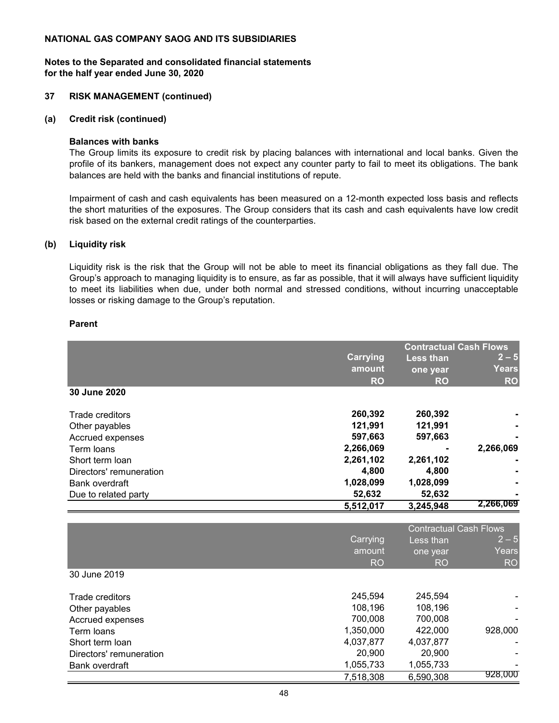## **Notes to the Separated and consolidated financial statements for the half year ended June 30, 2020**

## **37 RISK MANAGEMENT (continued)**

## **(a) Credit risk (continued)**

## **Balances with banks**

The Group limits its exposure to credit risk by placing balances with international and local banks. Given the profile of its bankers, management does not expect any counter party to fail to meet its obligations. The bank balances are held with the banks and financial institutions of repute.

Impairment of cash and cash equivalents has been measured on a 12-month expected loss basis and reflects the short maturities of the exposures. The Group considers that its cash and cash equivalents have low credit risk based on the external credit ratings of the counterparties.

## **(b) Liquidity risk**

Liquidity risk is the risk that the Group will not be able to meet its financial obligations as they fall due. The Group's approach to managing liquidity is to ensure, as far as possible, that it will always have sufficient liquidity to meet its liabilities when due, under both normal and stressed conditions, without incurring unacceptable losses or risking damage to the Group's reputation.

## **Parent**

|                         |                 |                  | <b>Contractual Cash Flows</b> |
|-------------------------|-----------------|------------------|-------------------------------|
|                         | <b>Carrying</b> | <b>Less than</b> | $2 - 5$                       |
|                         | amount          | one year         | Years                         |
|                         | <b>RO</b>       | <b>RO</b>        | <b>RO</b>                     |
| 30 June 2020            |                 |                  |                               |
| Trade creditors         | 260,392         | 260,392          |                               |
| Other payables          | 121,991         | 121,991          |                               |
| Accrued expenses        | 597,663         | 597,663          |                               |
| Term loans              | 2,266,069       |                  | 2,266,069                     |
| Short term loan         | 2,261,102       | 2,261,102        |                               |
| Directors' remuneration | 4,800           | 4,800            |                               |
| Bank overdraft          | 1,028,099       | 1,028,099        |                               |
| Due to related party    | 52,632          | 52,632           |                               |
|                         | 5,512,017       | 3,245,948        | 2,266,069                     |

|                         | <b>Contractual Cash Flows</b> |           |           |
|-------------------------|-------------------------------|-----------|-----------|
|                         | <b>Carrying</b>               | Less than | $2 - 5$   |
|                         | amount                        | one year  | Years     |
|                         | R <sub>O</sub>                | <b>RO</b> | <b>RO</b> |
| 30 June 2019            |                               |           |           |
|                         |                               |           |           |
| Trade creditors         | 245.594                       | 245.594   |           |
| Other payables          | 108,196                       | 108,196   |           |
| Accrued expenses        | 700,008                       | 700,008   |           |
| Term loans              | 1,350,000                     | 422,000   | 928,000   |
| Short term loan         | 4,037,877                     | 4,037,877 |           |
| Directors' remuneration | 20,900                        | 20,900    |           |
| Bank overdraft          | 1,055,733                     | 1,055,733 |           |
|                         | 7,518,308                     | 6,590,308 | 928,000   |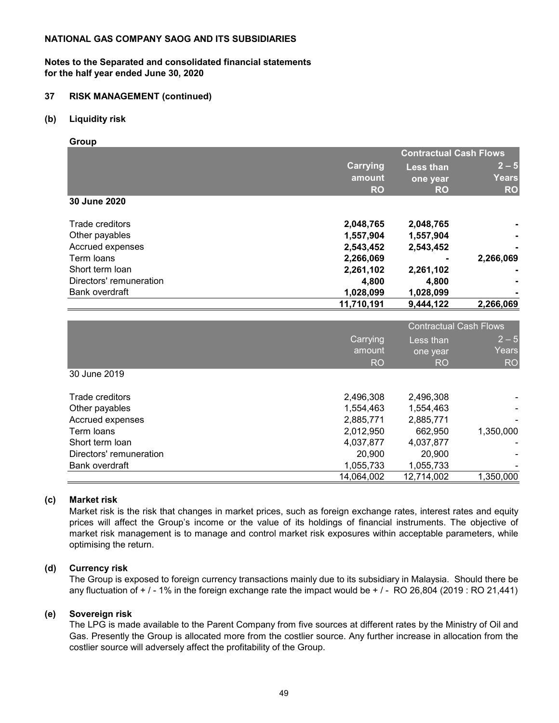## **Notes to the Separated and consolidated financial statements for the half year ended June 30, 2020**

## **37 RISK MANAGEMENT (continued)**

## **(b) Liquidity risk**

**Group**

|                         | <b>Contractual Cash Flows</b> |                  |              |
|-------------------------|-------------------------------|------------------|--------------|
|                         | <b>Carrying</b>               | <b>Less than</b> | $ 2 - 5 $    |
|                         | amount                        | one year         | <b>Years</b> |
|                         | <b>RO</b>                     | <b>RO</b>        | <b>RO</b>    |
| 30 June 2020            |                               |                  |              |
| Trade creditors         | 2,048,765                     | 2,048,765        |              |
| Other payables          | 1,557,904                     | 1,557,904        |              |
| Accrued expenses        | 2,543,452                     | 2,543,452        |              |
| Term loans              | 2,266,069                     |                  | 2,266,069    |
| Short term loan         | 2,261,102                     | 2,261,102        |              |
| Directors' remuneration | 4,800                         | 4.800            |              |
| Bank overdraft          | 1,028,099                     | 1,028,099        |              |
|                         | 11,710,191                    | 9,444,122        | 2,266,069    |

|                         | <b>Contractual Cash Flows</b> |                       |                  |
|-------------------------|-------------------------------|-----------------------|------------------|
|                         | Carrying<br>amount            | Less than<br>one year | $2 - 5$<br>Years |
|                         | <b>RO</b>                     | RO                    | RO <sub>l</sub>  |
| 30 June 2019            |                               |                       |                  |
| Trade creditors         | 2,496,308                     | 2,496,308             |                  |
| Other payables          | 1,554,463                     | 1,554,463             |                  |
| Accrued expenses        | 2,885,771                     | 2,885,771             |                  |
| Term loans              | 2,012,950                     | 662,950               | 1,350,000        |
| Short term loan         | 4,037,877                     | 4,037,877             |                  |
| Directors' remuneration | 20,900                        | 20,900                |                  |
| Bank overdraft          | 1,055,733                     | 1,055,733             |                  |
|                         | 14,064,002                    | 12,714,002            | 1,350,000        |

## **(c) Market risk**

Market risk is the risk that changes in market prices, such as foreign exchange rates, interest rates and equity prices will affect the Group's income or the value of its holdings of financial instruments. The objective of market risk management is to manage and control market risk exposures within acceptable parameters, while optimising the return.

## **(d) Currency risk**

The Group is exposed to foreign currency transactions mainly due to its subsidiary in Malaysia. Should there be any fluctuation of  $+/-1\%$  in the foreign exchange rate the impact would be  $+/-$  RO 26,804 (2019 : RO 21,441)

## **(e) Sovereign risk**

The LPG is made available to the Parent Company from five sources at different rates by the Ministry of Oil and Gas. Presently the Group is allocated more from the costlier source. Any further increase in allocation from the costlier source will adversely affect the profitability of the Group.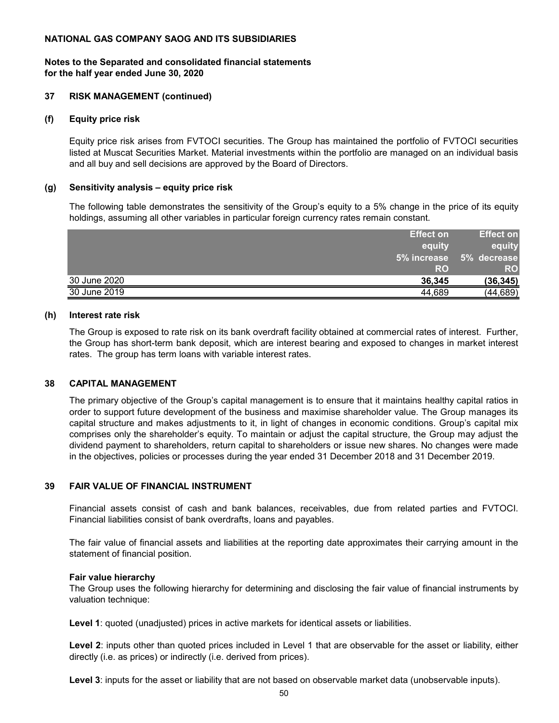## **Notes to the Separated and consolidated financial statements for the half year ended June 30, 2020**

## **37 RISK MANAGEMENT (continued)**

## **(f) Equity price risk**

Equity price risk arises from FVTOCI securities. The Group has maintained the portfolio of FVTOCI securities listed at Muscat Securities Market. Material investments within the portfolio are managed on an individual basis and all buy and sell decisions are approved by the Board of Directors.

## **(g) Sensitivity analysis – equity price risk**

The following table demonstrates the sensitivity of the Group's equity to a 5% change in the price of its equity holdings, assuming all other variables in particular foreign currency rates remain constant.

| <b>Effect on</b>       | Effect on   |
|------------------------|-------------|
| equity                 | equity      |
| 5% increase            | 5% decrease |
| <b>RO</b>              | <b>RO</b>   |
| 30 June 2020<br>36.345 | (36, 345)   |
| 30 June 2019<br>44.689 | (44,689)    |

## **(h) Interest rate risk**

The Group is exposed to rate risk on its bank overdraft facility obtained at commercial rates of interest. Further, the Group has short-term bank deposit, which are interest bearing and exposed to changes in market interest rates. The group has term loans with variable interest rates.

## **38 CAPITAL MANAGEMENT**

The primary objective of the Group's capital management is to ensure that it maintains healthy capital ratios in order to support future development of the business and maximise shareholder value. The Group manages its capital structure and makes adjustments to it, in light of changes in economic conditions. Group's capital mix comprises only the shareholder's equity. To maintain or adjust the capital structure, the Group may adjust the dividend payment to shareholders, return capital to shareholders or issue new shares. No changes were made in the objectives, policies or processes during the year ended 31 December 2018 and 31 December 2019.

## **39 FAIR VALUE OF FINANCIAL INSTRUMENT**

Financial assets consist of cash and bank balances, receivables, due from related parties and FVTOCI. Financial liabilities consist of bank overdrafts, loans and payables.

The fair value of financial assets and liabilities at the reporting date approximates their carrying amount in the statement of financial position.

## **Fair value hierarchy**

The Group uses the following hierarchy for determining and disclosing the fair value of financial instruments by valuation technique:

**Level 1**: quoted (unadjusted) prices in active markets for identical assets or liabilities.

**Level 2**: inputs other than quoted prices included in Level 1 that are observable for the asset or liability, either directly (i.e. as prices) or indirectly (i.e. derived from prices).

**Level 3**: inputs for the asset or liability that are not based on observable market data (unobservable inputs).